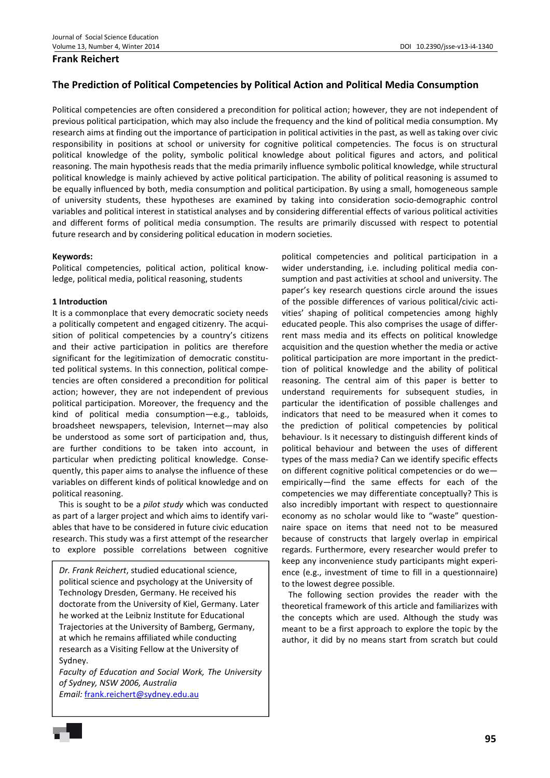## **Frank Reichert**

# **The Prediction of Political Competencies by Political Action and Political Media Consumption**

Political competencies are often considered a precondition for political action; however, they are not independent of previous political participation, which may also include the frequency and the kind of political media consumption. My research aims at finding out the importance of participation in political activities in the past, as well as taking over civic responsibility in positions at school or university for cognitive political competencies. The focus is on structural political knowledge of the polity, symbolic political knowledge about political figures and actors, and political reasoning. The main hypothesis reads that the media primarily influence symbolic political knowledge, while structural political knowledge is mainly achieved by active political participation. The ability of political reasoning is assumed to be equally influenced by both, media consumption and political participation. By using a small, homogeneous sample of university students, these hypotheses are examined by taking into consideration socio-demographic control variables and political interest in statistical analyses and by considering differential effects of various political activities and different forms of political media consumption. The results are primarily discussed with respect to potential future research and by considering political education in modern societies.

#### **Keywords:**

Political competencies, political action, political knowledge, political media, political reasoning, students

#### **1 Introduction**

It is a commonplace that every democratic society needs a politically competent and engaged citizenry. The acquisition of political competencies by a country's citizens and their active participation in politics are therefore significant for the legitimization of democratic constituted political systems. In this connection, political competencies are often considered a precondition for political action; however, they are not independent of previous political participation. Moreover, the frequency and the kind of political media consumption—e.g., tabloids, broadsheet newspapers, television, Internet—may also be understood as some sort of participation and, thus, are further conditions to be taken into account, in particular when predicting political knowledge. Consequently, this paper aims to analyse the influence of these variables on different kinds of political knowledge and on political reasoning.

This is sought to be a *pilot study* which was conducted as part of a larger project and which aims to identify variables that have to be considered in future civic education research. This study was a first attempt of the researcher to explore possible correlations between cognitive

*Dr. Frank Reichert*, studied educational science, political science and psychology at the University of Technology Dresden, Germany. He received his doctorate from the University of Kiel, Germany. Later he worked at the Leibniz Institute for Educational Trajectories at the University of Bamberg, Germany, at which he remains affiliated while conducting research as a Visiting Fellow at the University of Sydney.

*Faculty of Education and Social Work, The University of Sydney, NSW 2006, Australia Email:* frank.reichert@sydney.edu.au

political competencies and political participation in a wider understanding, i.e. including political media consumption and past activities at school and university. The paper's key research questions circle around the issues of the possible differences of various political/civic activities' shaping of political competencies among highly educated people. This also comprises the usage of differrent mass media and its effects on political knowledge acquisition and the question whether the media or active political participation are more important in the predicttion of political knowledge and the ability of political reasoning. The central aim of this paper is better to understand requirements for subsequent studies, in particular the identification of possible challenges and indicators that need to be measured when it comes to the prediction of political competencies by political behaviour. Is it necessary to distinguish different kinds of political behaviour and between the uses of different types of the mass media? Can we identify specific effects on different cognitive political competencies or do we empirically—find the same effects for each of the competencies we may differentiate conceptually? This is also incredibly important with respect to questionnaire economy as no scholar would like to "waste" questionnaire space on items that need not to be measured because of constructs that largely overlap in empirical regards. Furthermore, every researcher would prefer to keep any inconvenience study participants might experience (e.g., investment of time to fill in a questionnaire) to the lowest degree possible.

The following section provides the reader with the theoretical framework of this article and familiarizes with the concepts which are used. Although the study was meant to be a first approach to explore the topic by the author, it did by no means start from scratch but could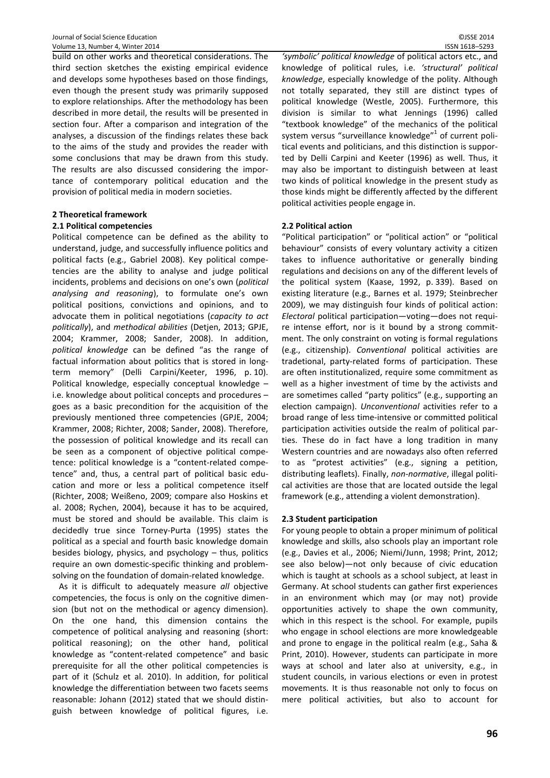build on other works and theoretical considerations. The third section sketches the existing empirical evidence and develops some hypotheses based on those findings, even though the present study was primarily supposed to explore relationships. After the methodology has been described in more detail, the results will be presented in section four. After a comparison and integration of the analyses, a discussion of the findings relates these back to the aims of the study and provides the reader with some conclusions that may be drawn from this study. The results are also discussed considering the importance of contemporary political education and the provision of political media in modern societies.

# **2 Theoretical framework**

## **2.1 Political competencies**

Political competence can be defined as the ability to understand, judge, and successfully influence politics and political facts (e.g., Gabriel 2008). Key political competencies are the ability to analyse and judge political incidents, problems and decisions on one's own (*political analysing and reasoning*), to formulate one's own political positions, convictions and opinions, and to advocate them in political negotiations (*capacity to act politically*), and *methodical abilities* (Detjen, 2013; GPJE, 2004; Krammer, 2008; Sander, 2008). In addition, *political knowledge* can be defined "as the range of factual information about politics that is stored in longterm memory" (Delli Carpini/Keeter, 1996, p. 10). Political knowledge, especially conceptual knowledge – i.e. knowledge about political concepts and procedures – goes as a basic precondition for the acquisition of the previously mentioned three competencies (GPJE, 2004; Krammer, 2008; Richter, 2008; Sander, 2008). Therefore, the possession of political knowledge and its recall can be seen as a component of objective political competence: political knowledge is a "content-related competence" and, thus, a central part of political basic education and more or less a political competence itself (Richter, 2008; Weißeno, 2009; compare also Hoskins et al. 2008; Rychen, 2004), because it has to be acquired, must be stored and should be available. This claim is decidedly true since Torney-Purta (1995) states the political as a special and fourth basic knowledge domain besides biology, physics, and psychology – thus, politics require an own domestic-specific thinking and problemsolving on the foundation of domain-related knowledge.

As it is difficult to adequately measure *all* objective competencies, the focus is only on the cognitive dimension (but not on the methodical or agency dimension). On the one hand, this dimension contains the competence of political analysing and reasoning (short: political reasoning); on the other hand, political knowledge as "content-related competence" and basic prerequisite for all the other political competencies is part of it (Schulz et al. 2010). In addition, for political knowledge the differentiation between two facets seems reasonable: Johann (2012) stated that we should distinguish between knowledge of political figures, i.e.

*'symbolic' political knowledge* of political actors etc., and knowledge of political rules, i.e. *'structural' political knowledge*, especially knowledge of the polity. Although not totally separated, they still are distinct types of political knowledge (Westle, 2005). Furthermore, this division is similar to what Jennings (1996) called "textbook knowledge" of the mechanics of the political system versus "surveillance knowledge"<sup>1</sup> of current political events and politicians, and this distinction is supported by Delli Carpini and Keeter (1996) as well. Thus, it may also be important to distinguish between at least two kinds of political knowledge in the present study as those kinds might be differently affected by the different political activities people engage in.

## **2.2 Political action**

"Political participation" or "political action" or "political behaviour" consists of every voluntary activity a citizen takes to influence authoritative or generally binding regulations and decisions on any of the different levels of the political system (Kaase, 1992, p. 339). Based on existing literature (e.g., Barnes et al. 1979; Steinbrecher 2009), we may distinguish four kinds of political action: *Electoral* political participation—voting—does not require intense effort, nor is it bound by a strong commitment. The only constraint on voting is formal regulations (e.g., citizenship). *Conventional* political activities are tradetional, party-related forms of participation. These are often institutionalized, require some commitment as well as a higher investment of time by the activists and are sometimes called "party politics" (e.g., supporting an election campaign). *Unconventional* activities refer to a broad range of less time-intensive or committed political participation activities outside the realm of political parties. These do in fact have a long tradition in many Western countries and are nowadays also often referred to as "protest activities" (e.g., signing a petition, distributing leaflets). Finally, *non-normative*, illegal political activities are those that are located outside the legal framework (e.g., attending a violent demonstration).

## **2.3 Student participation**

For young people to obtain a proper minimum of political knowledge and skills, also schools play an important role (e.g., Davies et al., 2006; Niemi/Junn, 1998; Print, 2012; see also below)—not only because of civic education which is taught at schools as a school subject, at least in Germany. At school students can gather first experiences in an environment which may (or may not) provide opportunities actively to shape the own community, which in this respect is the school. For example, pupils who engage in school elections are more knowledgeable and prone to engage in the political realm (e.g., Saha & Print, 2010). However, students can participate in more ways at school and later also at university, e.g., in student councils, in various elections or even in protest movements. It is thus reasonable not only to focus on mere political activities, but also to account for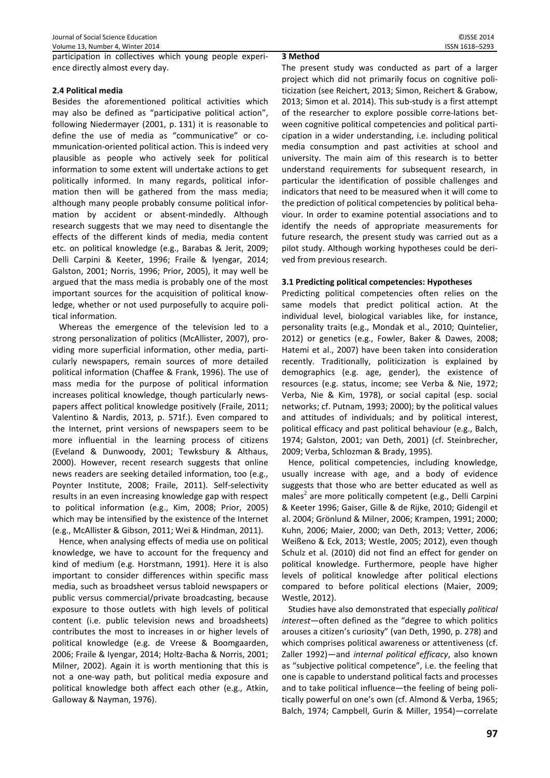participation in collectives which young people experience directly almost every day.

# **2.4 Political media**

Besides the aforementioned political activities which may also be defined as "participative political action", following Niedermayer (2001, p. 131) it is reasonable to define the use of media as "communicative" or communication-oriented political action. This is indeed very plausible as people who actively seek for political information to some extent will undertake actions to get politically informed. In many regards, political information then will be gathered from the mass media; although many people probably consume political information by accident or absent-mindedly. Although research suggests that we may need to disentangle the effects of the different kinds of media, media content etc. on political knowledge (e.g., Barabas & Jerit, 2009; Delli Carpini & Keeter, 1996; Fraile & Iyengar, 2014; Galston, 2001; Norris, 1996; Prior, 2005), it may well be argued that the mass media is probably one of the most important sources for the acquisition of political knowledge, whether or not used purposefully to acquire political information.

Whereas the emergence of the television led to a strong personalization of politics (McAllister, 2007), providing more superficial information, other media, particularly newspapers, remain sources of more detailed political information (Chaffee & Frank, 1996). The use of mass media for the purpose of political information increases political knowledge, though particularly newspapers affect political knowledge positively (Fraile, 2011; Valentino & Nardis, 2013, p. 571f.). Even compared to the Internet, print versions of newspapers seem to be more influential in the learning process of citizens (Eveland & Dunwoody, 2001; Tewksbury & Althaus, 2000). However, recent research suggests that online news readers are seeking detailed information, too (e.g., Poynter Institute, 2008; Fraile, 2011). Self-selectivity results in an even increasing knowledge gap with respect to political information (e.g., Kim, 2008; Prior, 2005) which may be intensified by the existence of the Internet (e.g., McAllister & Gibson, 2011; Wei & Hindman, 2011).

Hence, when analysing effects of media use on political knowledge, we have to account for the frequency and kind of medium (e.g. Horstmann, 1991). Here it is also important to consider differences within specific mass media, such as broadsheet versus tabloid newspapers or public versus commercial/private broadcasting, because exposure to those outlets with high levels of political content (i.e. public television news and broadsheets) contributes the most to increases in or higher levels of political knowledge (e.g. de Vreese & Boomgaarden, 2006; Fraile & Iyengar, 2014; Holtz-Bacha & Norris, 2001; Milner, 2002). Again it is worth mentioning that this is not a one-way path, but political media exposure and political knowledge both affect each other (e.g., Atkin, Galloway & Nayman, 1976).

## **3 Method**

The present study was conducted as part of a larger project which did not primarily focus on cognitive politicization (see Reichert, 2013; Simon, Reichert & Grabow, 2013; Simon et al. 2014). This sub-study is a first attempt of the researcher to explore possible corre-lations between cognitive political competencies and political participation in a wider understanding, i.e. including political media consumption and past activities at school and university. The main aim of this research is to better understand requirements for subsequent research, in particular the identification of possible challenges and indicators that need to be measured when it will come to the prediction of political competencies by political behaviour. In order to examine potential associations and to identify the needs of appropriate measurements for future research, the present study was carried out as a pilot study. Although working hypotheses could be derived from previous research.

# **3.1 Predicting political competencies: Hypotheses**

Predicting political competencies often relies on the same models that predict political action. At the individual level, biological variables like, for instance, personality traits (e.g., Mondak et al., 2010; Quintelier, 2012) or genetics (e.g., Fowler, Baker & Dawes, 2008; Hatemi et al., 2007) have been taken into consideration recently. Traditionally, politicization is explained by demographics (e.g. age, gender), the existence of resources (e.g. status, income; see Verba & Nie, 1972; Verba, Nie & Kim, 1978), or social capital (esp. social networks; cf. Putnam, 1993; 2000); by the political values and attitudes of individuals; and by political interest, political efficacy and past political behaviour (e.g., Balch, 1974; Galston, 2001; van Deth, 2001) (cf. Steinbrecher, 2009; Verba, Schlozman & Brady, 1995).

Hence, political competencies, including knowledge, usually increase with age, and a body of evidence suggests that those who are better educated as well as males<sup>2</sup> are more politically competent (e.g., Delli Carpini & Keeter 1996; Gaiser, Gille & de Rijke, 2010; Gidengil et al. 2004; Grönlund & Milner, 2006; Krampen, 1991; 2000; Kuhn, 2006; Maier, 2000; van Deth, 2013; Vetter, 2006; Weißeno & Eck, 2013; Westle, 2005; 2012), even though Schulz et al. (2010) did not find an effect for gender on political knowledge. Furthermore, people have higher levels of political knowledge after political elections compared to before political elections (Maier, 2009; Westle, 2012).

Studies have also demonstrated that especially *political interest—*often defined as the "degree to which politics arouses a citizen's curiosity" (van Deth, 1990, p. 278) and which comprises political awareness or attentiveness (cf. Zaller 1992)—and *internal political efficacy*, also known as "subjective political competence", i.e. the feeling that one is capable to understand political facts and processes and to take political influence—the feeling of being politically powerful on one's own (cf. Almond & Verba, 1965; Balch, 1974; Campbell, Gurin & Miller, 1954)—correlate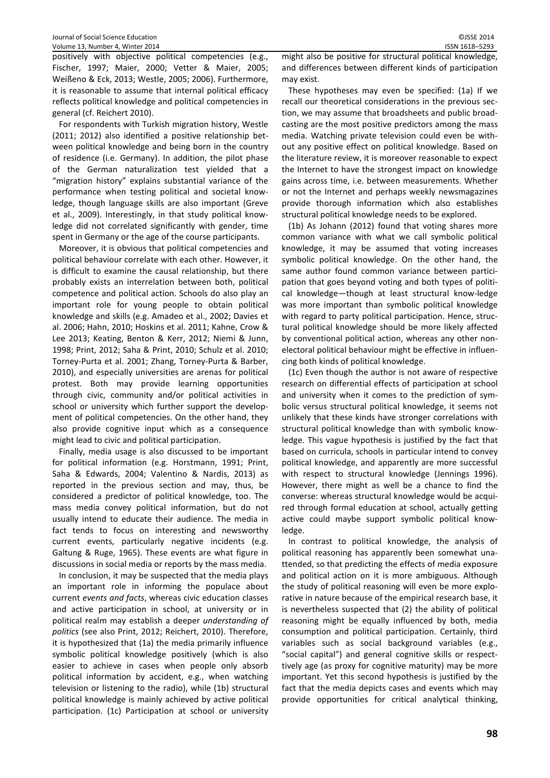positively with objective political competencies (e.g., Fischer, 1997; Maier, 2000; Vetter & Maier, 2005; Weißeno & Eck, 2013; Westle, 2005; 2006). Furthermore, it is reasonable to assume that internal political efficacy reflects political knowledge and political competencies in general (cf. Reichert 2010).

For respondents with Turkish migration history, Westle (2011; 2012) also identified a positive relationship between political knowledge and being born in the country of residence (i.e. Germany). In addition, the pilot phase of the German naturalization test yielded that a "migration history" explains substantial variance of the performance when testing political and societal knowledge, though language skills are also important (Greve et al., 2009). Interestingly, in that study political knowledge did not correlated significantly with gender, time spent in Germany or the age of the course participants.

Moreover, it is obvious that political competencies and political behaviour correlate with each other. However, it is difficult to examine the causal relationship, but there probably exists an interrelation between both, political competence and political action. Schools do also play an important role for young people to obtain political knowledge and skills (e.g. Amadeo et al., 2002; Davies et al. 2006; Hahn, 2010; Hoskins et al. 2011; Kahne, Crow & Lee 2013; Keating, Benton & Kerr, 2012; Niemi & Junn, 1998; Print, 2012; Saha & Print, 2010; Schulz et al. 2010; Torney-Purta et al. 2001; Zhang, Torney-Purta & Barber, 2010), and especially universities are arenas for political protest. Both may provide learning opportunities through civic, community and/or political activities in school or university which further support the development of political competencies. On the other hand, they also provide cognitive input which as a consequence might lead to civic and political participation.

Finally, media usage is also discussed to be important for political information (e.g. Horstmann, 1991; Print, Saha & Edwards, 2004; Valentino & Nardis, 2013) as reported in the previous section and may, thus, be considered a predictor of political knowledge, too. The mass media convey political information, but do not usually intend to educate their audience. The media in fact tends to focus on interesting and newsworthy current events, particularly negative incidents (e.g. Galtung & Ruge, 1965). These events are what figure in discussions in social media or reports by the mass media.

In conclusion, it may be suspected that the media plays an important role in informing the populace about current *events and facts*, whereas civic education classes and active participation in school, at university or in political realm may establish a deeper *understanding of politics* (see also Print, 2012; Reichert, 2010). Therefore, it is hypothesized that (1a) the media primarily influence symbolic political knowledge positively (which is also easier to achieve in cases when people only absorb political information by accident, e.g., when watching television or listening to the radio), while (1b) structural political knowledge is mainly achieved by active political participation. (1c) Participation at school or university might also be positive for structural political knowledge, and differences between different kinds of participation may exist.

These hypotheses may even be specified: (1a) If we recall our theoretical considerations in the previous section, we may assume that broadsheets and public broadcasting are the most positive predictors among the mass media. Watching private television could even be without any positive effect on political knowledge. Based on the literature review, it is moreover reasonable to expect the Internet to have the strongest impact on knowledge gains across time, i.e. between measurements. Whether or not the Internet and perhaps weekly newsmagazines provide thorough information which also establishes structural political knowledge needs to be explored.

(1b) As Johann (2012) found that voting shares more common variance with what we call symbolic political knowledge, it may be assumed that voting increases symbolic political knowledge. On the other hand, the same author found common variance between participation that goes beyond voting and both types of political knowledge—though at least structural know-ledge was more important than symbolic political knowledge with regard to party political participation. Hence, structural political knowledge should be more likely affected by conventional political action, whereas any other nonelectoral political behaviour might be effective in influencing both kinds of political knowledge.

(1c) Even though the author is not aware of respective research on differential effects of participation at school and university when it comes to the prediction of symbolic versus structural political knowledge, it seems not unlikely that these kinds have stronger correlations with structural political knowledge than with symbolic knowledge. This vague hypothesis is justified by the fact that based on curricula, schools in particular intend to convey political knowledge, and apparently are more successful with respect to structural knowledge (Jennings 1996). However, there might as well be a chance to find the converse: whereas structural knowledge would be acquired through formal education at school, actually getting active could maybe support symbolic political knowledge.

In contrast to political knowledge, the analysis of political reasoning has apparently been somewhat unattended, so that predicting the effects of media exposure and political action on it is more ambiguous. Although the study of political reasoning will even be more explorative in nature because of the empirical research base, it is nevertheless suspected that (2) the ability of political reasoning might be equally influenced by both, media consumption and political participation. Certainly, third variables such as social background variables (e.g., "social capital") and general cognitive skills or respecttively age (as proxy for cognitive maturity) may be more important. Yet this second hypothesis is justified by the fact that the media depicts cases and events which may provide opportunities for critical analytical thinking,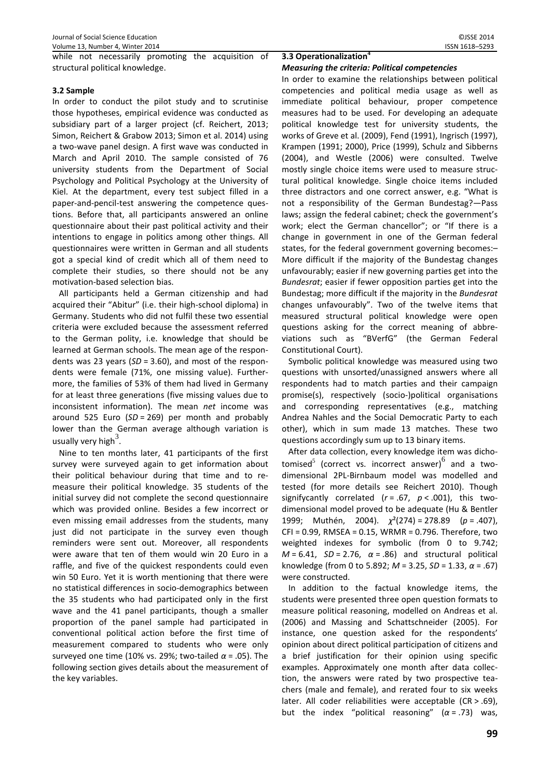while not necessarily promoting the acquisition of structural political knowledge.

## **3.2 Sample**

In order to conduct the pilot study and to scrutinise those hypotheses, empirical evidence was conducted as subsidiary part of a larger project (cf. Reichert, 2013; Simon, Reichert & Grabow 2013; Simon et al. 2014) using a two-wave panel design. A first wave was conducted in March and April 2010. The sample consisted of 76 university students from the Department of Social Psychology and Political Psychology at the University of Kiel. At the department, every test subject filled in a paper-and-pencil-test answering the competence questions. Before that, all participants answered an online questionnaire about their past political activity and their intentions to engage in politics among other things. All questionnaires were written in German and all students got a special kind of credit which all of them need to complete their studies, so there should not be any motivation-based selection bias.

All participants held a German citizenship and had acquired their "Abitur" (i.e. their high-school diploma) in Germany. Students who did not fulfil these two essential criteria were excluded because the assessment referred to the German polity, i.e. knowledge that should be learned at German schools. The mean age of the respondents was 23 years (*SD* = 3.60), and most of the respondents were female (71%, one missing value). Furthermore, the families of 53% of them had lived in Germany for at least three generations (five missing values due to inconsistent information). The mean *net* income was around 525 Euro (*SD* = 269) per month and probably lower than the German average although variation is usually very high<sup>3</sup>.

Nine to ten months later, 41 participants of the first survey were surveyed again to get information about their political behaviour during that time and to remeasure their political knowledge. 35 students of the initial survey did not complete the second questionnaire which was provided online. Besides a few incorrect or even missing email addresses from the students, many just did not participate in the survey even though reminders were sent out. Moreover, all respondents were aware that ten of them would win 20 Euro in a raffle, and five of the quickest respondents could even win 50 Euro. Yet it is worth mentioning that there were no statistical differences in socio-demographics between the 35 students who had participated only in the first wave and the 41 panel participants, though a smaller proportion of the panel sample had participated in conventional political action before the first time of measurement compared to students who were only surveyed one time (10% vs. 29%; two-tailed *α* = .05). The following section gives details about the measurement of the key variables.

#### **3.3 Operationalization<sup>4</sup>** *Measuring the criteria: Political competencies*

In order to examine the relationships between political competencies and political media usage as well as immediate political behaviour, proper competence measures had to be used. For developing an adequate political knowledge test for university students, the works of Greve et al. (2009), Fend (1991), Ingrisch (1997), Krampen (1991; 2000), Price (1999), Schulz and Sibberns (2004), and Westle (2006) were consulted. Twelve mostly single choice items were used to measure structural political knowledge. Single choice items included three distractors and one correct answer, e.g. "What is not a responsibility of the German Bundestag?—Pass laws; assign the federal cabinet; check the government's work; elect the German chancellor"; or "If there is a change in government in one of the German federal states, for the federal government governing becomes:– More difficult if the majority of the Bundestag changes unfavourably; easier if new governing parties get into the *Bundesrat*; easier if fewer opposition parties get into the Bundestag; more difficult if the majority in the *Bundesrat* changes unfavourably". Two of the twelve items that measured structural political knowledge were open questions asking for the correct meaning of abbreviations such as "BVerfG" (the German Federal Constitutional Court).

Symbolic political knowledge was measured using two questions with unsorted/unassigned answers where all respondents had to match parties and their campaign promise(s), respectively (socio-)political organisations and corresponding representatives (e.g., matching Andrea Nahles and the Social Democratic Party to each other), which in sum made 13 matches. These two questions accordingly sum up to 13 binary items.

After data collection, every knowledge item was dichotomised<sup>5</sup> (correct vs. incorrect answer)<sup>6</sup> and a twodimensional 2PL-Birnbaum model was modelled and tested (for more details see Reichert 2010). Though signifycantly correlated (*r* = .67, *p* < .001), this twodimensional model proved to be adequate (Hu & Bentler 1999; Muthén, 2004). *χ*²(274) = 278.89 (*p* = .407), CFI = 0.99, RMSEA = 0.15, WRMR = 0.796. Therefore, two weighted indexes for symbolic (from 0 to 9.742;  $M = 6.41$ ,  $SD = 2.76$ ,  $\alpha = .86$ ) and structural political knowledge (from 0 to 5.892; *M* = 3.25, *SD* = 1.33, *α* = .67) were constructed.

In addition to the factual knowledge items, the students were presented three open question formats to measure political reasoning, modelled on Andreas et al. (2006) and Massing and Schattschneider (2005). For instance, one question asked for the respondents' opinion about direct political participation of citizens and a brief justification for their opinion using specific examples. Approximately one month after data collection, the answers were rated by two prospective teachers (male and female), and rerated four to six weeks later. All coder reliabilities were acceptable (CR > .69), but the index "political reasoning" (*α* = .73) was,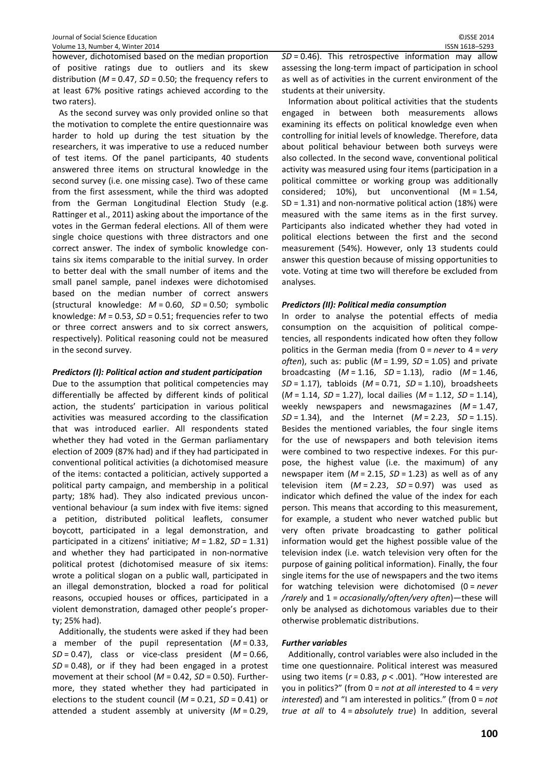however, dichotomised based on the median proportion of positive ratings due to outliers and its skew distribution (*M* = 0.47, *SD* = 0.50; the frequency refers to at least 67% positive ratings achieved according to the two raters).

As the second survey was only provided online so that the motivation to complete the entire questionnaire was harder to hold up during the test situation by the researchers, it was imperative to use a reduced number of test items. Of the panel participants, 40 students answered three items on structural knowledge in the second survey (i.e. one missing case). Two of these came from the first assessment, while the third was adopted from the German Longitudinal Election Study (e.g. Rattinger et al., 2011) asking about the importance of the votes in the German federal elections. All of them were single choice questions with three distractors and one correct answer. The index of symbolic knowledge contains six items comparable to the initial survey. In order to better deal with the small number of items and the small panel sample, panel indexes were dichotomised based on the median number of correct answers (structural knowledge: *M* = 0.60, *SD* = 0.50; symbolic knowledge: *M* = 0.53, *SD* = 0.51; frequencies refer to two or three correct answers and to six correct answers, respectively). Political reasoning could not be measured in the second survey.

## *Predictors (I): Political action and student participation*

Due to the assumption that political competencies may differentially be affected by different kinds of political action, the students' participation in various political activities was measured according to the classification that was introduced earlier. All respondents stated whether they had voted in the German parliamentary election of 2009 (87% had) and if they had participated in conventional political activities (a dichotomised measure of the items: contacted a politician, actively supported a political party campaign, and membership in a political party; 18% had). They also indicated previous unconventional behaviour (a sum index with five items: signed a petition, distributed political leaflets, consumer boycott, participated in a legal demonstration, and participated in a citizens' initiative; *M* = 1.82, *SD* = 1.31) and whether they had participated in non-normative political protest (dichotomised measure of six items: wrote a political slogan on a public wall, participated in an illegal demonstration, blocked a road for political reasons, occupied houses or offices, participated in a violent demonstration, damaged other people's property; 25% had).

Additionally, the students were asked if they had been a member of the pupil representation (*M* = 0.33, *SD* = 0.47), class or vice-class president (*M* = 0.66, *SD* = 0.48), or if they had been engaged in a protest movement at their school (*M* = 0.42, *SD* = 0.50). Furthermore, they stated whether they had participated in elections to the student council (*M* = 0.21, *SD* = 0.41) or attended a student assembly at university (*M* = 0.29, *SD* = 0.46). This retrospective information may allow assessing the long-term impact of participation in school as well as of activities in the current environment of the students at their university.

Information about political activities that the students engaged in between both measurements allows examining its effects on political knowledge even when controlling for initial levels of knowledge. Therefore, data about political behaviour between both surveys were also collected. In the second wave, conventional political activity was measured using four items (participation in a political committee or working group was additionally considered; 10%), but unconventional (M = 1.54, SD = 1.31) and non-normative political action (18%) were measured with the same items as in the first survey. Participants also indicated whether they had voted in political elections between the first and the second measurement (54%). However, only 13 students could answer this question because of missing opportunities to vote. Voting at time two will therefore be excluded from analyses.

# *Predictors (II): Political media consumption*

In order to analyse the potential effects of media consumption on the acquisition of political competencies, all respondents indicated how often they follow politics in the German media (from 0 = *never* to 4 = *very often*), such as: public (*M* = 1.99, *SD* = 1.05) and private broadcasting (*M* = 1.16, *SD* = 1.13), radio (*M* = 1.46, *SD* = 1.17), tabloids (*M* = 0.71, *SD* = 1.10), broadsheets (*M* = 1.14, *SD* = 1.27), local dailies (*M* = 1.12, *SD* = 1.14), weekly newspapers and newsmagazines (*M* = 1.47, *SD* = 1.34), and the Internet (*M* = 2.23, *SD* = 1.15). Besides the mentioned variables, the four single items for the use of newspapers and both television items were combined to two respective indexes. For this purpose, the highest value (i.e. the maximum) of any newspaper item ( $M = 2.15$ ,  $SD = 1.23$ ) as well as of any television item  $(M = 2.23, SD = 0.97)$  was used as indicator which defined the value of the index for each person. This means that according to this measurement, for example, a student who never watched public but very often private broadcasting to gather political information would get the highest possible value of the television index (i.e. watch television very often for the purpose of gaining political information). Finally, the four single items for the use of newspapers and the two items for watching television were dichotomised (0 = *never /rarely* and 1 = *occasionally/often/very often*)—these will only be analysed as dichotomous variables due to their otherwise problematic distributions.

## *Further variables*

Additionally, control variables were also included in the time one questionnaire. Political interest was measured using two items (*r* = 0.83, *p* < .001). "How interested are you in politics?" (from 0 = *not at all interested* to 4 = *very interested*) and "I am interested in politics." (from 0 = *not true at all* to 4 = *absolutely true*) In addition, several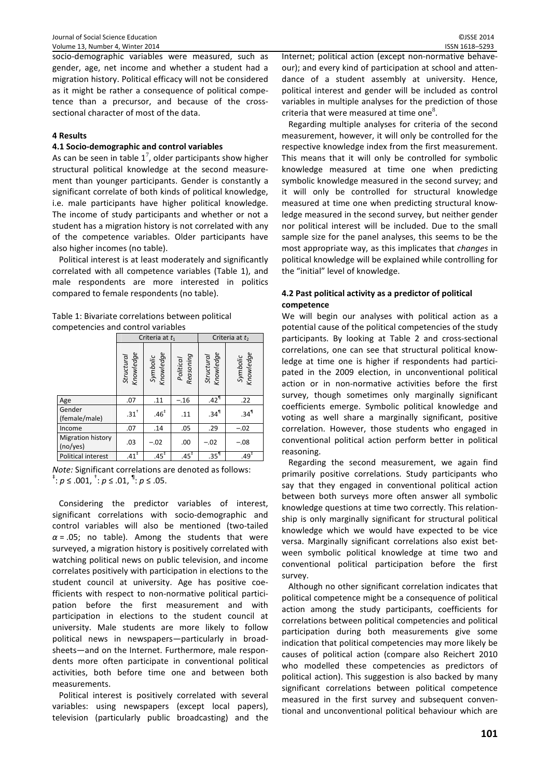socio-demographic variables were measured, such as gender, age, net income and whether a student had a migration history. Political efficacy will not be considered as it might be rather a consequence of political competence than a precursor, and because of the crosssectional character of most of the data.

# **4 Results**

#### **4.1 Socio-demographic and control variables**

As can be seen in table  $1^7$ , older participants show higher structural political knowledge at the second measurement than younger participants. Gender is constantly a significant correlate of both kinds of political knowledge, i.e. male participants have higher political knowledge. The income of study participants and whether or not a student has a migration history is not correlated with any of the competence variables. Older participants have also higher incomes (no table).

Political interest is at least moderately and significantly correlated with all competence variables (Table 1), and male respondents are more interested in politics compared to female respondents (no table).

Table 1: Bivariate correlations between political competencies and control variables

|                                      |                         | Criteria at $t_1$     |                        | Criteria at $t_2$       |                       |  |
|--------------------------------------|-------------------------|-----------------------|------------------------|-------------------------|-----------------------|--|
|                                      | Knowledge<br>Structural | Symbolic<br>Knowledge | Reasoning<br>Political | Knowledge<br>Structural | Symbolic<br>Knowledge |  |
| Age                                  | .07                     | .11                   | $-.16$                 | .42 <sup>1</sup>        | .22                   |  |
| Gender<br>(female/male)              | .31 <sup>†</sup>        | .46 <sup>‡</sup>      | .11                    | .34 <sup>1</sup>        | .34 <sup>9</sup>      |  |
| Income                               | .07                     | .14                   | .05                    | .29                     | $-.02$                |  |
| <b>Migration history</b><br>(no/yes) | .03                     | $-.02$                | .00                    | $-.02$                  | $-.08$                |  |
| Political interest                   | $.41^{\ddagger}$        | $.45^*$               | $.45^*$                | .35 <sup>1</sup>        | $.49^{\frac{1}{4}}$   |  |

*Note:* Significant correlations are denoted as follows: <sup>‡</sup>:  $p$  ≤ .001, <sup>†</sup>:  $p$  ≤ .01, <sup>¶</sup>:  $p$  ≤ .05.

Considering the predictor variables of interest, significant correlations with socio-demographic and control variables will also be mentioned (two-tailed  $\alpha$  = .05; no table). Among the students that were surveyed, a migration history is positively correlated with watching political news on public television, and income correlates positively with participation in elections to the student council at university. Age has positive coefficients with respect to non-normative political participation before the first measurement and with participation in elections to the student council at university. Male students are more likely to follow political news in newspapers—particularly in broadsheets—and on the Internet. Furthermore, male respondents more often participate in conventional political activities, both before time one and between both measurements.

Political interest is positively correlated with several variables: using newspapers (except local papers), television (particularly public broadcasting) and the

Internet; political action (except non-normative behaveour); and every kind of participation at school and attendance of a student assembly at university. Hence, political interest and gender will be included as control variables in multiple analyses for the prediction of those criteria that were measured at time one<sup>8</sup>.

Regarding multiple analyses for criteria of the second measurement, however, it will only be controlled for the respective knowledge index from the first measurement. This means that it will only be controlled for symbolic knowledge measured at time one when predicting symbolic knowledge measured in the second survey; and it will only be controlled for structural knowledge measured at time one when predicting structural knowledge measured in the second survey, but neither gender nor political interest will be included. Due to the small sample size for the panel analyses, this seems to be the most appropriate way, as this implicates that *changes* in political knowledge will be explained while controlling for the "initial" level of knowledge.

## **4.2 Past political activity as a predictor of political competence**

We will begin our analyses with political action as a potential cause of the political competencies of the study participants. By looking at Table 2 and cross-sectional correlations, one can see that structural political knowledge at time one is higher if respondents had participated in the 2009 election, in unconventional political action or in non-normative activities before the first survey, though sometimes only marginally significant coefficients emerge. Symbolic political knowledge and voting as well share a marginally significant, positive correlation. However, those students who engaged in conventional political action perform better in political reasoning.

Regarding the second measurement, we again find primarily positive correlations. Study participants who say that they engaged in conventional political action between both surveys more often answer all symbolic knowledge questions at time two correctly. This relationship is only marginally significant for structural political knowledge which we would have expected to be vice versa. Marginally significant correlations also exist between symbolic political knowledge at time two and conventional political participation before the first survey.

Although no other significant correlation indicates that political competence might be a consequence of political action among the study participants, coefficients for correlations between political competencies and political participation during both measurements give some indication that political competencies may more likely be causes of political action (compare also Reichert 2010 who modelled these competencies as predictors of political action). This suggestion is also backed by many significant correlations between political competence measured in the first survey and subsequent conventional and unconventional political behaviour which are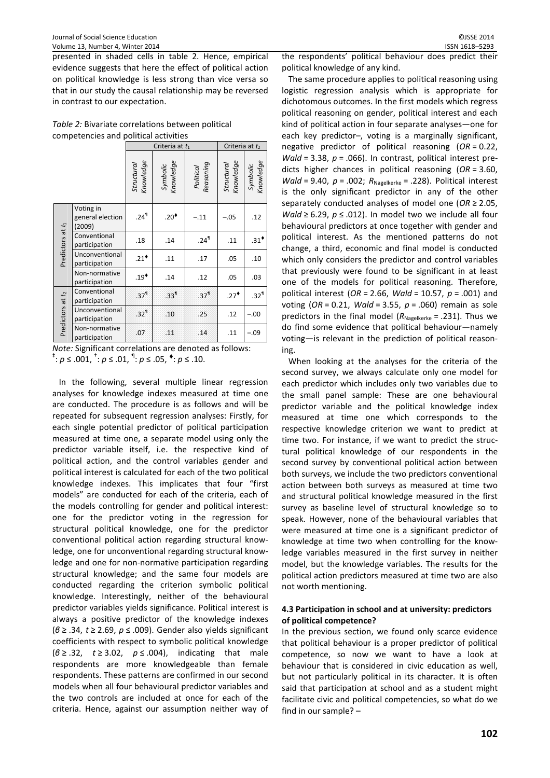presented in shaded cells in table 2. Hence, empirical evidence suggests that here the effect of political action on political knowledge is less strong than vice versa so that in our study the causal relationship may be reversed in contrast to our expectation.

|                                       | Table 2: Bivariate correlations between political |
|---------------------------------------|---------------------------------------------------|
| competencies and political activities |                                                   |

|                              |                                         |                         | Criteria at $t_1$     |                        | Criteria at $t_2$       |                       |  |
|------------------------------|-----------------------------------------|-------------------------|-----------------------|------------------------|-------------------------|-----------------------|--|
|                              |                                         | Knowledge<br>Structural | Symbolic<br>Knowledge | Political<br>Reasoning | Structural<br>Knowledge | Symbolic<br>Knowledge |  |
| Predictors at t <sub>1</sub> | Voting in<br>general election<br>(2009) | .24 $\mathsf{I}$        | .20 $^{\bullet}$      | $-.11$                 | $-.05$                  | .12                   |  |
|                              | Conventional<br>participation           | .18                     | .14                   | .24 <sup>9</sup>       | .11                     | $.31*$                |  |
|                              | Unconventional<br>participation         | $.21$ <sup>*</sup>      | .11                   | .17                    | .05                     | .10                   |  |
|                              | Non-normative<br>participation          | $.19*$                  | .14                   | .12                    | .05                     | .03                   |  |
|                              | Conventional<br>participation           | .37 <sup>1</sup>        | .33 <sup>1</sup>      | .37 <sup>1</sup>       | $.27*$                  | .32 <sup>1</sup>      |  |
| Predictors at t2             | Unconventional<br>participation         | .32 <sup>1</sup>        | .10                   | .25                    | .12                     | $-.00$                |  |
|                              | Non-normative<br>participation          | .07                     | 11                    | .14                    | .11                     | $-.09$                |  |

*Note:* Significant correlations are denoted as follows: <sup>‡</sup>:  $p$  ≤ .001, <sup>†</sup>:  $p$  ≤ .01, <sup>¶</sup>:  $p$  ≤ .05, <sup>◆</sup>:  $p$  ≤ .10.

In the following, several multiple linear regression analyses for knowledge indexes measured at time one are conducted. The procedure is as follows and will be repeated for subsequent regression analyses: Firstly, for each single potential predictor of political participation measured at time one, a separate model using only the predictor variable itself, i.e. the respective kind of political action, and the control variables gender and political interest is calculated for each of the two political knowledge indexes. This implicates that four "first models" are conducted for each of the criteria, each of the models controlling for gender and political interest: one for the predictor voting in the regression for structural political knowledge, one for the predictor conventional political action regarding structural knowledge, one for unconventional regarding structural knowledge and one for non-normative participation regarding structural knowledge; and the same four models are conducted regarding the criterion symbolic political knowledge. Interestingly, neither of the behavioural predictor variables yields significance. Political interest is always a positive predictor of the knowledge indexes (*β* ≥ .34, *t* ≥ 2.69, *p* ≤ .009). Gender also yields significant coefficients with respect to symbolic political knowledge (*β* ≥ .32, *t* ≥ 3.02, *p* ≤ .004), indicating that male respondents are more knowledgeable than female respondents. These patterns are confirmed in our second models when all four behavioural predictor variables and the two controls are included at once for each of the criteria. Hence, against our assumption neither way of the respondents' political behaviour does predict their political knowledge of any kind.

The same procedure applies to political reasoning using logistic regression analysis which is appropriate for dichotomous outcomes. In the first models which regress political reasoning on gender, political interest and each kind of political action in four separate analyses—one for each key predictor–, voting is a marginally significant, negative predictor of political reasoning (*OR* = 0.22, *Wald* = 3.38, *p* = .066). In contrast, political interest predicts higher chances in political reasoning (*OR* = 3.60, *Wald* = 9.40,  $p = .002$ ;  $R_{Nagelkerke} = .228$ ). Political interest is the only significant predictor in any of the other separately conducted analyses of model one (*OR* ≥ 2.05, *Wald* ≥ 6.29,  $p$  ≤ .012). In model two we include all four behavioural predictors at once together with gender and political interest. As the mentioned patterns do not change, a third, economic and final model is conducted which only considers the predictor and control variables that previously were found to be significant in at least one of the models for political reasoning. Therefore, political interest (*OR* = 2.66, *Wald* = 10.57, *p* = .001) and voting (*OR* = 0.21, *Wald* = 3.55, *p* = .060) remain as sole predictors in the final model  $(R_{Nagger} = .231)$ . Thus we do find some evidence that political behaviour—namely voting—is relevant in the prediction of political reasoning.

When looking at the analyses for the criteria of the second survey, we always calculate only one model for each predictor which includes only two variables due to the small panel sample: These are one behavioural predictor variable and the political knowledge index measured at time one which corresponds to the respective knowledge criterion we want to predict at time two. For instance, if we want to predict the structural political knowledge of our respondents in the second survey by conventional political action between both surveys, we include the two predictors conventional action between both surveys as measured at time two and structural political knowledge measured in the first survey as baseline level of structural knowledge so to speak. However, none of the behavioural variables that were measured at time one is a significant predictor of knowledge at time two when controlling for the knowledge variables measured in the first survey in neither model, but the knowledge variables. The results for the political action predictors measured at time two are also not worth mentioning.

# **4.3 Participation in school and at university: predictors of political competence?**

In the previous section, we found only scarce evidence that political behaviour is a proper predictor of political competence, so now we want to have a look at behaviour that is considered in civic education as well, but not particularly political in its character. It is often said that participation at school and as a student might facilitate civic and political competencies, so what do we find in our sample? –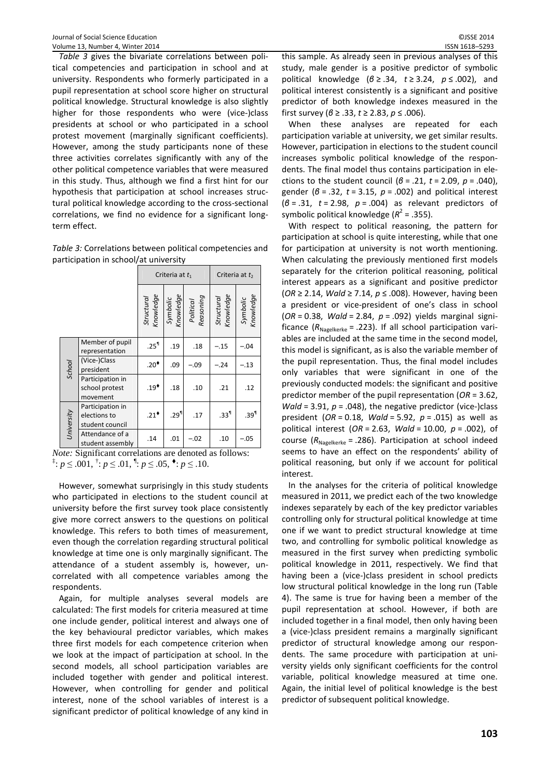*Table 3* gives the bivariate correlations between political competencies and participation in school and at university. Respondents who formerly participated in a pupil representation at school score higher on structural political knowledge. Structural knowledge is also slightly higher for those respondents who were (vice-)class presidents at school or who participated in a school protest movement (marginally significant coefficients). However, among the study participants none of these three activities correlates significantly with any of the other political competence variables that were measured in this study. Thus, although we find a first hint for our hypothesis that participation at school increases structural political knowledge according to the cross-sectional correlations, we find no evidence for a significant longterm effect.

| Table 3: Correlations between political competencies and |
|----------------------------------------------------------|
| participation in school/at university                    |

|            |                                                     | Criteria at $t_1$       |                       |                        | Criteria at t <sub>2</sub> |                       |
|------------|-----------------------------------------------------|-------------------------|-----------------------|------------------------|----------------------------|-----------------------|
|            |                                                     | Structural<br>Knowledge | Symbolic<br>Knowledge | Reasoning<br>Political | Structural<br>Knowledge    | Knowledge<br>Symbolic |
|            | Member of pupil<br>representation                   | .25 <sup>9</sup>        | .19                   | .18                    | $-.15$                     | $-.04$                |
| School     | (Vice-)Class<br>president                           | $.20^*$                 | .09                   | $-.09$                 | $-.24$                     | $-.13$                |
|            | Participation in<br>school protest<br>movement      | $.19*$                  | .18                   | .10                    | .21                        | .12                   |
| University | Participation in<br>elections to<br>student council | $.21^*$                 | .29 <sup>1</sup>      | .17                    | .33 <sup>1</sup>           | .39 <sup>1</sup>      |
|            | Attendance of a<br>student assembly                 | .14                     | .01                   | $-.02$                 | .10                        | $-.05$                |

*Note:* Significant correlations are denoted as follows: <sup>‡</sup>:  $p \le .001$ , <sup>†</sup>:  $p \le .01$ , <sup>¶</sup>:  $p \le .05$ , <sup>◆</sup>:  $p \le .10$ .

However, somewhat surprisingly in this study students who participated in elections to the student council at university before the first survey took place consistently give more correct answers to the questions on political knowledge. This refers to both times of measurement, even though the correlation regarding structural political knowledge at time one is only marginally significant. The attendance of a student assembly is, however, uncorrelated with all competence variables among the respondents.

Again, for multiple analyses several models are calculated: The first models for criteria measured at time one include gender, political interest and always one of the key behavioural predictor variables, which makes three first models for each competence criterion when we look at the impact of participation at school. In the second models, all school participation variables are included together with gender and political interest. However, when controlling for gender and political interest, none of the school variables of interest is a significant predictor of political knowledge of any kind in

this sample. As already seen in previous analyses of this study, male gender is a positive predictor of symbolic political knowledge (*β* ≥ .34, *t* ≥ 3.24, *p* ≤ .002), and political interest consistently is a significant and positive predictor of both knowledge indexes measured in the first survey (*β* ≥ .33, *t* ≥ 2.83, *p* ≤ .006).

When these analyses are repeated for each participation variable at university, we get similar results. However, participation in elections to the student council increases symbolic political knowledge of the respondents. The final model thus contains participation in elections to the student council (*β* = .21, *t* = 2.09, *p* = .040), gender (*β* = .32, *t* = 3.15, *p* = .002) and political interest (*β* = .31, *t* = 2.98, *p* = .004) as relevant predictors of symbolic political knowledge ( $R^2$  = .355).

With respect to political reasoning, the pattern for participation at school is quite interesting, while that one for participation at university is not worth mentioning. When calculating the previously mentioned first models separately for the criterion political reasoning, political interest appears as a significant and positive predictor (*OR* ≥ 2.14, *Wald* ≥ 7.14, *p* ≤ .008). However, having been a president or vice-president of one's class in school (*OR* = 0.38, *Wald* = 2.84, *p* = .092) yields marginal significance  $(R_{Naggerke} = .223)$ . If all school participation variables are included at the same time in the second model, this model is significant, as is also the variable member of the pupil representation. Thus, the final model includes only variables that were significant in one of the previously conducted models: the significant and positive predictor member of the pupil representation (*OR* = 3.62, *Wald* = 3.91,  $p = .048$ ), the negative predictor (vice-)class president (*OR* = 0.18, *Wald* = 5.92, *p* = .015) as well as political interest (*OR* = 2.63, *Wald* = 10.00, *p* = .002), of course ( $R_{Nagger{e}}$  = .286). Participation at school indeed seems to have an effect on the respondents' ability of political reasoning, but only if we account for political interest.

In the analyses for the criteria of political knowledge measured in 2011, we predict each of the two knowledge indexes separately by each of the key predictor variables controlling only for structural political knowledge at time one if we want to predict structural knowledge at time two, and controlling for symbolic political knowledge as measured in the first survey when predicting symbolic political knowledge in 2011, respectively. We find that having been a (vice-)class president in school predicts low structural political knowledge in the long run (Table 4). The same is true for having been a member of the pupil representation at school. However, if both are included together in a final model, then only having been a (vice-)class president remains a marginally significant predictor of structural knowledge among our respondents. The same procedure with participation at university yields only significant coefficients for the control variable, political knowledge measured at time one. Again, the initial level of political knowledge is the best predictor of subsequent political knowledge.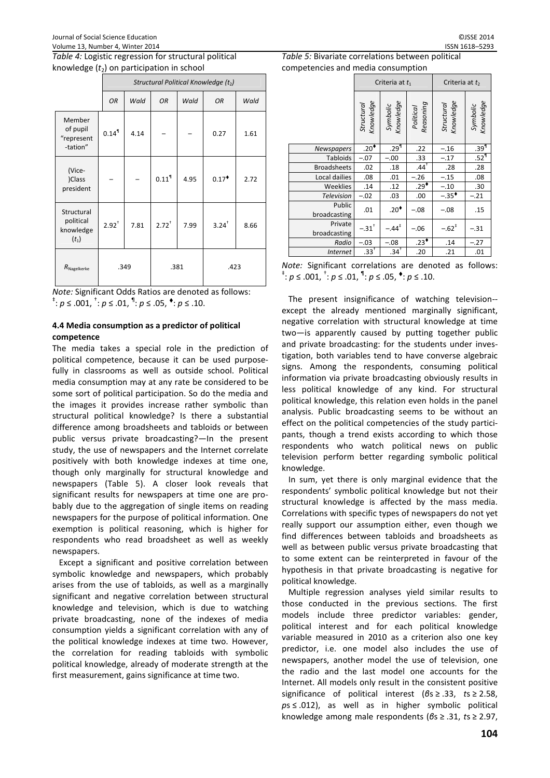|                                                 |                     | Structural Political Knowledge (t2) |                     |      |                     |      |  |  |
|-------------------------------------------------|---------------------|-------------------------------------|---------------------|------|---------------------|------|--|--|
|                                                 | OR                  | Wald                                | <b>OR</b>           | Wald | OR                  | Wald |  |  |
| Member<br>of pupil<br>"represent<br>-tation"    | $0.14$ <sup>1</sup> | 4.14                                |                     |      | 0.27                | 1.61 |  |  |
| (Vice-<br>)Class<br>president                   |                     |                                     | $0.11$ <sup>1</sup> | 4.95 | $0.17$ <sup>*</sup> | 2.72 |  |  |
| Structural<br>political<br>knowledge<br>$(t_1)$ | $2.92^{+}$          | 7.81                                | $2.72^{+}$          | 7.99 | $3.24$ <sup>+</sup> | 8.66 |  |  |
| $R_{\text{Nage}$ lkerke                         | .349                |                                     | .381                |      | .423                |      |  |  |

*Note:* Significant Odds Ratios are denoted as follows: <sup>‡</sup>:  $p \le .001$ , <sup>†</sup>:  $p \le .01$ , <sup>¶</sup>:  $p \le .05$ , <sup>◆</sup>:  $p \le .10$ .

# **4.4 Media consumption as a predictor of political competence**

The media takes a special role in the prediction of political competence, because it can be used purposefully in classrooms as well as outside school. Political media consumption may at any rate be considered to be some sort of political participation. So do the media and the images it provides increase rather symbolic than structural political knowledge? Is there a substantial difference among broadsheets and tabloids or between public versus private broadcasting?—In the present study, the use of newspapers and the Internet correlate positively with both knowledge indexes at time one, though only marginally for structural knowledge and newspapers (Table 5). A closer look reveals that significant results for newspapers at time one are probably due to the aggregation of single items on reading newspapers for the purpose of political information. One exemption is political reasoning, which is higher for respondents who read broadsheet as well as weekly newspapers.

Except a significant and positive correlation between symbolic knowledge and newspapers, which probably arises from the use of tabloids, as well as a marginally significant and negative correlation between structural knowledge and television, which is due to watching private broadcasting, none of the indexes of media consumption yields a significant correlation with any of the political knowledge indexes at time two. However, the correlation for reading tabloids with symbolic political knowledge, already of moderate strength at the first measurement, gains significance at time two.

*Table 5:* Bivariate correlations between political competencies and media consumption

| competencies and meala consumption |                         |                       |                        |                            |                       |  |  |
|------------------------------------|-------------------------|-----------------------|------------------------|----------------------------|-----------------------|--|--|
|                                    | Criteria at $t_1$       |                       |                        | Criteria at t <sub>2</sub> |                       |  |  |
|                                    | Structural<br>Knowledge | Symbolic<br>Knowledge | Political<br>Reasoning | Structural<br>Knowledge    | Symbolic<br>Knowledge |  |  |
| <b>Newspapers</b>                  | $.20\leftarrow$         | .29 <sup>1</sup>      | .22                    | $-.16$                     | .39 <sup>1</sup>      |  |  |
| <b>Tabloids</b>                    | $-.07$                  | $-.00$                | .33                    | $-.17$                     | .52 <sup>1</sup>      |  |  |
| <b>Broadsheets</b>                 | .02                     | .18                   | $.44^{\dagger}$        | .28                        | .28                   |  |  |
| Local dailies                      | .08                     | .01                   | $-.26$                 | $-.15$                     | .08                   |  |  |
| Weeklies                           | .14                     | .12                   | $.29*$                 | $-.10$                     | .30                   |  |  |
| <b>Television</b>                  | $-.02$                  | .03                   | .00                    | $-.35*$                    | $-.21$                |  |  |
| Public<br>broadcasting             | .01                     | $.20^{\bullet}$       | $-.08$                 | $-.08$                     | .15                   |  |  |
| Private<br>broadcasting            | $-.31$ <sup>+</sup>     | $-.44^{\dagger}$      | $-.06$                 | $-.62$ <sup>*</sup>        | $-.31$                |  |  |
| Radio                              | $-.03$                  | $-.08$                | $.23*$                 | .14                        | $-.27$                |  |  |
| <b>Internet</b>                    | $.33^{+}$               | .34 <sup>T</sup>      | .20                    | .21                        | .01                   |  |  |

*Note:* Significant correlations are denoted as follows: <sup>‡</sup>: *p* ≤ .001, <sup>†</sup>: *p* ≤ .01, <sup>¶</sup>: *p* ≤ .05, <sup>◆</sup>: *p* ≤ .10.

The present insignificance of watching television- except the already mentioned marginally significant, negative correlation with structural knowledge at time two—is apparently caused by putting together public and private broadcasting: for the students under investigation, both variables tend to have converse algebraic signs. Among the respondents, consuming political information via private broadcasting obviously results in less political knowledge of any kind. For structural political knowledge, this relation even holds in the panel analysis. Public broadcasting seems to be without an effect on the political competencies of the study participants, though a trend exists according to which those respondents who watch political news on public television perform better regarding symbolic political knowledge.

In sum, yet there is only marginal evidence that the respondents' symbolic political knowledge but not their structural knowledge is affected by the mass media. Correlations with specific types of newspapers do not yet really support our assumption either, even though we find differences between tabloids and broadsheets as well as between public versus private broadcasting that to some extent can be reinterpreted in favour of the hypothesis in that private broadcasting is negative for political knowledge.

Multiple regression analyses yield similar results to those conducted in the previous sections. The first models include three predictor variables: gender, political interest and for each political knowledge variable measured in 2010 as a criterion also one key predictor, i.e. one model also includes the use of newspapers, another model the use of television, one the radio and the last model one accounts for the Internet. All models only result in the consistent positive significance of political interest (*β*s ≥ .33, *t*s ≥ 2.58, *p*s ≤ .012), as well as in higher symbolic political knowledge among male respondents (*β*s ≥ .31, *t*s ≥ 2.97,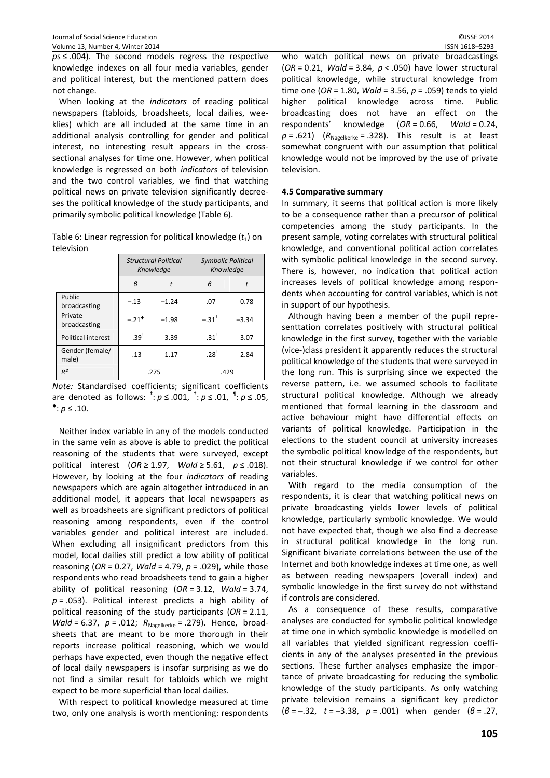*ps* ≤ .004). The second models regress the respective knowledge indexes on all four media variables, gender and political interest, but the mentioned pattern does not change.

When looking at the *indicators* of reading political newspapers (tabloids, broadsheets, local dailies, weeklies) which are all included at the same time in an additional analysis controlling for gender and political interest, no interesting result appears in the crosssectional analyses for time one. However, when political knowledge is regressed on both *indicators* of television and the two control variables, we find that watching political news on private television significantly decreeses the political knowledge of the study participants, and primarily symbolic political knowledge (Table 6).

Table 6: Linear regression for political knowledge  $(t_1)$  on television

|                          | <b>Structural Political</b><br>Knowledge<br>$\beta$ |         | <b>Symbolic Political</b><br>Knowledge |         |  |
|--------------------------|-----------------------------------------------------|---------|----------------------------------------|---------|--|
|                          |                                                     |         | R                                      |         |  |
| Public<br>broadcasting   | $-.13$                                              | $-1.24$ | .07                                    | 0.78    |  |
| Private<br>broadcasting  | $-.21$ <sup>*</sup>                                 | $-1.98$ | $-.31$ <sup>+</sup>                    | $-3.34$ |  |
| Political interest       | $.39^{+}$                                           | 3.39    | $.31^+$                                | 3.07    |  |
| Gender (female/<br>male) | .13                                                 | 1.17    | $.28^{+}$                              | 2.84    |  |
| $R^2$                    | .275                                                |         | .429                                   |         |  |

*Note:* Standardised coefficients; significant coefficients are denoted as follows: <sup>‡</sup>:  $p \le 0.001$ , <sup>†</sup>:  $p \le 0.01$ , <sup>¶</sup>:  $p \le 0.05$ ,  $\bullet$ : *p* ≤ .10.

Neither index variable in any of the models conducted in the same vein as above is able to predict the political reasoning of the students that were surveyed, except political interest (*OR* ≥ 1.97, *Wald* ≥ 5.61, *p* ≤ .018). However, by looking at the four *indicators* of reading newspapers which are again altogether introduced in an additional model, it appears that local newspapers as well as broadsheets are significant predictors of political reasoning among respondents, even if the control variables gender and political interest are included. When excluding all insignificant predictors from this model, local dailies still predict a low ability of political reasoning (*OR* = 0.27, *Wald* = 4.79, *p* = .029), while those respondents who read broadsheets tend to gain a higher ability of political reasoning (*OR* = 3.12, *Wald* = 3.74, *p* = .053). Political interest predicts a high ability of political reasoning of the study participants (*OR* = 2.11, *Wald* = 6.37,  $p = .012$ ;  $R_{Nagelkerke} = .279$ ). Hence, broadsheets that are meant to be more thorough in their reports increase political reasoning, which we would perhaps have expected, even though the negative effect of local daily newspapers is insofar surprising as we do not find a similar result for tabloids which we might expect to be more superficial than local dailies.

With respect to political knowledge measured at time two, only one analysis is worth mentioning: respondents

who watch political news on private broadcastings (*OR* = 0.21, *Wald* = 3.84, *p* < .050) have lower structural political knowledge, while structural knowledge from time one (*OR* = 1.80, *Wald* = 3.56, *p* = .059) tends to yield higher political knowledge across time. Public broadcasting does not have an effect on the respondents' knowledge (*OR* = 0.66, *Wald* = 0.24,  $p = .621$ ) ( $R_{Nagger} = .328$ ). This result is at least somewhat congruent with our assumption that political knowledge would not be improved by the use of private television.

#### **4.5 Comparative summary**

In summary, it seems that political action is more likely to be a consequence rather than a precursor of political competencies among the study participants. In the present sample, voting correlates with structural political knowledge, and conventional political action correlates with symbolic political knowledge in the second survey. There is, however, no indication that political action increases levels of political knowledge among respondents when accounting for control variables, which is not in support of our hypothesis.

Although having been a member of the pupil representtation correlates positively with structural political knowledge in the first survey, together with the variable (vice-)class president it apparently reduces the structural political knowledge of the students that were surveyed in the long run. This is surprising since we expected the reverse pattern, i.e. we assumed schools to facilitate structural political knowledge. Although we already mentioned that formal learning in the classroom and active behaviour might have differential effects on variants of political knowledge. Participation in the elections to the student council at university increases the symbolic political knowledge of the respondents, but not their structural knowledge if we control for other variables.

With regard to the media consumption of the respondents, it is clear that watching political news on private broadcasting yields lower levels of political knowledge, particularly symbolic knowledge. We would not have expected that, though we also find a decrease in structural political knowledge in the long run. Significant bivariate correlations between the use of the Internet and both knowledge indexes at time one, as well as between reading newspapers (overall index) and symbolic knowledge in the first survey do not withstand if controls are considered.

As a consequence of these results, comparative analyses are conducted for symbolic political knowledge at time one in which symbolic knowledge is modelled on all variables that yielded significant regression coefficients in any of the analyses presented in the previous sections. These further analyses emphasize the importance of private broadcasting for reducing the symbolic knowledge of the study participants. As only watching private television remains a significant key predictor (*β* = –.32, *t* = –3.38, *p* = .001) when gender (*β* = .27,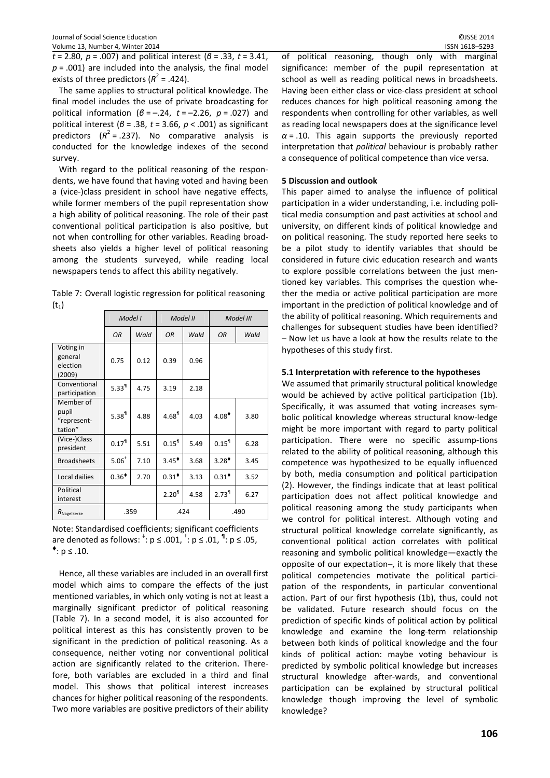*t* = 2.80, *p* = .007) and political interest (*β* = .33, *t* = 3.41, *p* = .001) are included into the analysis, the final model exists of three predictors ( $R^2$  = .424).

The same applies to structural political knowledge. The final model includes the use of private broadcasting for political information (*β* = –.24, *t* = –2.26, *p* = .027) and political interest (*β* = .38, *t* = 3.66, *p* < .001) as significant predictors  $(R^2 = .237)$ . No comparative analysis is conducted for the knowledge indexes of the second survey.

With regard to the political reasoning of the respondents, we have found that having voted and having been a (vice-)class president in school have negative effects, while former members of the pupil representation show a high ability of political reasoning. The role of their past conventional political participation is also positive, but not when controlling for other variables. Reading broadsheets also yields a higher level of political reasoning among the students surveyed, while reading local newspapers tends to affect this ability negatively.

| Table 7: Overall logistic regression for political reasoning |
|--------------------------------------------------------------|
| $(t_1)$                                                      |

|                                              | Model I    |      | Model II            |      | Model III           |      |
|----------------------------------------------|------------|------|---------------------|------|---------------------|------|
|                                              | OR         | Wald | OR                  | Wald | OR                  | Wald |
| Voting in<br>general<br>election<br>(2009)   | 0.75       | 0.12 | 0.39                | 0.96 |                     |      |
| Conventional<br>participation                | $5.33^{1}$ | 4.75 | 3.19                | 2.18 |                     |      |
| Member of<br>pupil<br>"represent-<br>tation" | $5.38^{1}$ | 4.88 | $4.68$ <sup>1</sup> | 4.03 | $4.08^*$            | 3.80 |
| (Vice-)Class<br>president                    | $0.17^{1}$ | 5.51 | $0.15$ <sup>1</sup> | 5.49 | $0.15$ <sup>1</sup> | 6.28 |
| <b>Broadsheets</b>                           | $5.06+$    | 7.10 | $3.45^{\dagger}$    | 3.68 | $3.28^*$            | 3.45 |
| Local dailies                                | $0.36^*$   | 2.70 | $0.31$ <sup>*</sup> | 3.13 | $0.31$ <sup>*</sup> | 3.52 |
| Political<br>interest                        |            |      | 2.20 <sup>1</sup>   | 4.58 | 2.73 <sup>1</sup>   | 6.27 |
| $R_{\text{Nage}$ lkerke                      | .359       |      | .424                |      | .490                |      |

Note: Standardised coefficients; significant coefficients are denoted as follows:  $\stackrel{\text{*}}{.}$  p  $\leq$  .001,  $\stackrel{\text{*}}{.}$  p  $\leq$  .01,  $\stackrel{\text{\$}}{.}$  p  $\leq$  .05,  $•: p ≤ .10.$ 

Hence, all these variables are included in an overall first model which aims to compare the effects of the just mentioned variables, in which only voting is not at least a marginally significant predictor of political reasoning (Table 7). In a second model, it is also accounted for political interest as this has consistently proven to be significant in the prediction of political reasoning. As a consequence, neither voting nor conventional political action are significantly related to the criterion. Therefore, both variables are excluded in a third and final model. This shows that political interest increases chances for higher political reasoning of the respondents. Two more variables are positive predictors of their ability of political reasoning, though only with marginal significance: member of the pupil representation at school as well as reading political news in broadsheets. Having been either class or vice-class president at school reduces chances for high political reasoning among the respondents when controlling for other variables, as well as reading local newspapers does at the significance level  $\alpha$  = .10. This again supports the previously reported interpretation that *political* behaviour is probably rather a consequence of political competence than vice versa.

#### **5 Discussion and outlook**

This paper aimed to analyse the influence of political participation in a wider understanding, i.e. including political media consumption and past activities at school and university, on different kinds of political knowledge and on political reasoning. The study reported here seeks to be a pilot study to identify variables that should be considered in future civic education research and wants to explore possible correlations between the just mentioned key variables. This comprises the question whether the media or active political participation are more important in the prediction of political knowledge and of the ability of political reasoning. Which requirements and challenges for subsequent studies have been identified? – Now let us have a look at how the results relate to the hypotheses of this study first.

## **5.1 Interpretation with reference to the hypotheses**

We assumed that primarily structural political knowledge would be achieved by active political participation (1b). Specifically, it was assumed that voting increases symbolic political knowledge whereas structural know-ledge might be more important with regard to party political participation. There were no specific assump-tions related to the ability of political reasoning, although this competence was hypothesized to be equally influenced by both, media consumption and political participation (2). However, the findings indicate that at least political participation does not affect political knowledge and political reasoning among the study participants when we control for political interest. Although voting and structural political knowledge correlate significantly, as conventional political action correlates with political reasoning and symbolic political knowledge—exactly the opposite of our expectation–, it is more likely that these political competencies motivate the political participation of the respondents, in particular conventional action. Part of our first hypothesis (1b), thus, could not be validated. Future research should focus on the prediction of specific kinds of political action by political knowledge and examine the long-term relationship between both kinds of political knowledge and the four kinds of political action: maybe voting behaviour is predicted by symbolic political knowledge but increases structural knowledge after-wards, and conventional participation can be explained by structural political knowledge though improving the level of symbolic knowledge?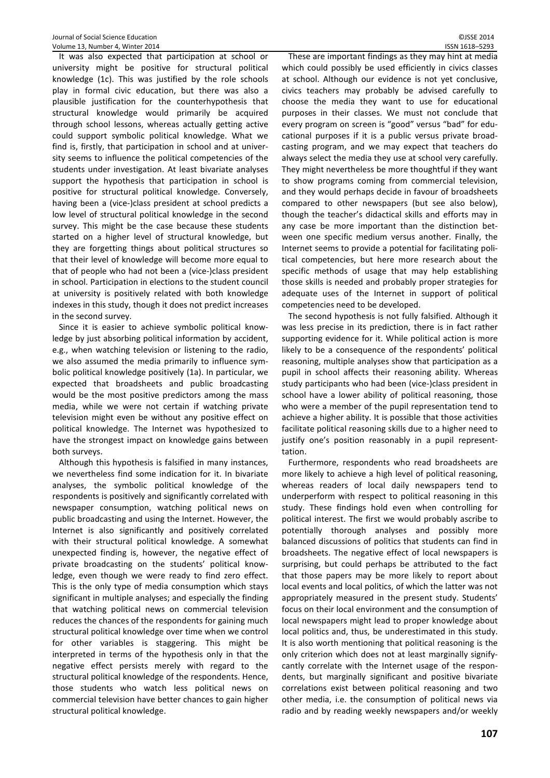It was also expected that participation at school or university might be positive for structural political knowledge (1c). This was justified by the role schools play in formal civic education, but there was also a plausible justification for the counterhypothesis that structural knowledge would primarily be acquired through school lessons, whereas actually getting active could support symbolic political knowledge. What we find is, firstly, that participation in school and at university seems to influence the political competencies of the students under investigation. At least bivariate analyses support the hypothesis that participation in school is positive for structural political knowledge. Conversely, having been a (vice-)class president at school predicts a low level of structural political knowledge in the second survey. This might be the case because these students started on a higher level of structural knowledge, but they are forgetting things about political structures so that their level of knowledge will become more equal to that of people who had not been a (vice-)class president in school. Participation in elections to the student council at university is positively related with both knowledge indexes in this study, though it does not predict increases in the second survey.

Since it is easier to achieve symbolic political knowledge by just absorbing political information by accident, e.g., when watching television or listening to the radio, we also assumed the media primarily to influence symbolic political knowledge positively (1a). In particular, we expected that broadsheets and public broadcasting would be the most positive predictors among the mass media, while we were not certain if watching private television might even be without any positive effect on political knowledge. The Internet was hypothesized to have the strongest impact on knowledge gains between both surveys.

Although this hypothesis is falsified in many instances, we nevertheless find some indication for it. In bivariate analyses, the symbolic political knowledge of the respondents is positively and significantly correlated with newspaper consumption, watching political news on public broadcasting and using the Internet. However, the Internet is also significantly and positively correlated with their structural political knowledge. A somewhat unexpected finding is, however, the negative effect of private broadcasting on the students' political knowledge, even though we were ready to find zero effect. This is the only type of media consumption which stays significant in multiple analyses; and especially the finding that watching political news on commercial television reduces the chances of the respondents for gaining much structural political knowledge over time when we control for other variables is staggering. This might be interpreted in terms of the hypothesis only in that the negative effect persists merely with regard to the structural political knowledge of the respondents. Hence, those students who watch less political news on commercial television have better chances to gain higher structural political knowledge.

These are important findings as they may hint at media which could possibly be used efficiently in civics classes at school. Although our evidence is not yet conclusive, civics teachers may probably be advised carefully to choose the media they want to use for educational purposes in their classes. We must not conclude that every program on screen is "good" versus "bad" for educational purposes if it is a public versus private broadcasting program, and we may expect that teachers do always select the media they use at school very carefully. They might nevertheless be more thoughtful if they want to show programs coming from commercial television, and they would perhaps decide in favour of broadsheets compared to other newspapers (but see also below), though the teacher's didactical skills and efforts may in any case be more important than the distinction between one specific medium versus another. Finally, the Internet seems to provide a potential for facilitating political competencies, but here more research about the specific methods of usage that may help establishing those skills is needed and probably proper strategies for adequate uses of the Internet in support of political competencies need to be developed.

The second hypothesis is not fully falsified. Although it was less precise in its prediction, there is in fact rather supporting evidence for it. While political action is more likely to be a consequence of the respondents' political reasoning, multiple analyses show that participation as a pupil in school affects their reasoning ability. Whereas study participants who had been (vice-)class president in school have a lower ability of political reasoning, those who were a member of the pupil representation tend to achieve a higher ability. It is possible that those activities facilitate political reasoning skills due to a higher need to justify one's position reasonably in a pupil representtation.

Furthermore, respondents who read broadsheets are more likely to achieve a high level of political reasoning, whereas readers of local daily newspapers tend to underperform with respect to political reasoning in this study. These findings hold even when controlling for political interest. The first we would probably ascribe to potentially thorough analyses and possibly more balanced discussions of politics that students can find in broadsheets. The negative effect of local newspapers is surprising, but could perhaps be attributed to the fact that those papers may be more likely to report about local events and local politics, of which the latter was not appropriately measured in the present study. Students' focus on their local environment and the consumption of local newspapers might lead to proper knowledge about local politics and, thus, be underestimated in this study. It is also worth mentioning that political reasoning is the only criterion which does not at least marginally signifycantly correlate with the Internet usage of the respondents, but marginally significant and positive bivariate correlations exist between political reasoning and two other media, i.e. the consumption of political news via radio and by reading weekly newspapers and/or weekly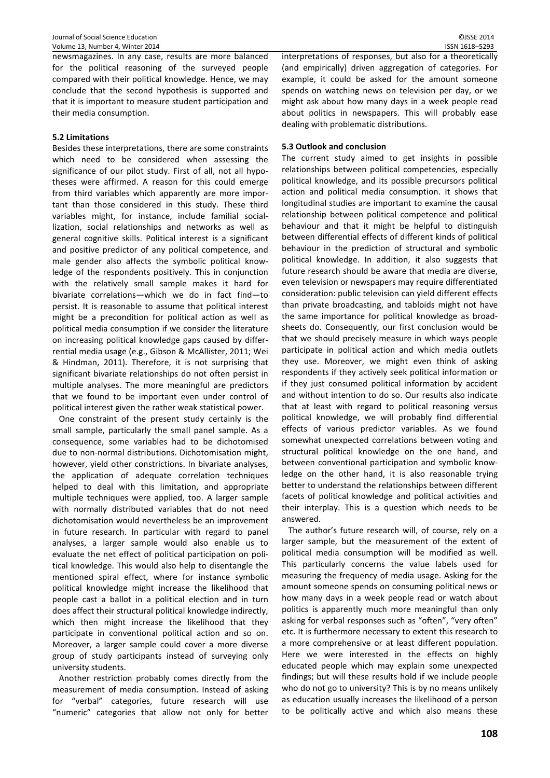newsmagazines. In any case, results are more balanced for the political reasoning of the surveyed people compared with their political knowledge. Hence, we may conclude that the second hypothesis is supported and that it is important to measure student participation and their media consumption.

## **5.2 Limitations**

Besides these interpretations, there are some constraints which need to be considered when assessing the significance of our pilot study. First of all, not all hypotheses were affirmed. A reason for this could emerge from third variables which apparently are more important than those considered in this study. These third variables might, for instance, include familial sociallization, social relationships and networks as well as general cognitive skills. Political interest is a significant and positive predictor of any political competence, and male gender also affects the symbolic political knowledge of the respondents positively. This in conjunction with the relatively small sample makes it hard for bivariate correlations—which we do in fact find—to persist. It is reasonable to assume that political interest might be a precondition for political action as well as political media consumption if we consider the literature on increasing political knowledge gaps caused by differrential media usage (e.g., Gibson & McAllister, 2011; Wei & Hindman, 2011). Therefore, it is not surprising that significant bivariate relationships do not often persist in multiple analyses. The more meaningful are predictors that we found to be important even under control of political interest given the rather weak statistical power.

One constraint of the present study certainly is the small sample, particularly the small panel sample. As a consequence, some variables had to be dichotomised due to non-normal distributions. Dichotomisation might, however, yield other constrictions. In bivariate analyses, the application of adequate correlation techniques helped to deal with this limitation, and appropriate multiple techniques were applied, too. A larger sample with normally distributed variables that do not need dichotomisation would nevertheless be an improvement in future research. In particular with regard to panel analyses, a larger sample would also enable us to evaluate the net effect of political participation on political knowledge. This would also help to disentangle the mentioned spiral effect, where for instance symbolic political knowledge might increase the likelihood that people cast a ballot in a political election and in turn does affect their structural political knowledge indirectly, which then might increase the likelihood that they participate in conventional political action and so on. Moreover, a larger sample could cover a more diverse group of study participants instead of surveying only university students.

Another restriction probably comes directly from the measurement of media consumption. Instead of asking for "verbal" categories, future research will use "numeric" categories that allow not only for better interpretations of responses, but also for a theoretically (and empirically) driven aggregation of categories. For example, it could be asked for the amount someone spends on watching news on television per day, or we might ask about how many days in a week people read about politics in newspapers. This will probably ease dealing with problematic distributions.

# **5.3 Outlook and conclusion**

The current study aimed to get insights in possible relationships between political competencies, especially political knowledge, and its possible precursors political action and political media consumption. It shows that longitudinal studies are important to examine the causal relationship between political competence and political behaviour and that it might be helpful to distinguish between differential effects of different kinds of political behaviour in the prediction of structural and symbolic political knowledge. In addition, it also suggests that future research should be aware that media are diverse, even television or newspapers may require differentiated consideration: public television can yield different effects than private broadcasting, and tabloids might not have the same importance for political knowledge as broadsheets do. Consequently, our first conclusion would be that we should precisely measure in which ways people participate in political action and which media outlets they use. Moreover, we might even think of asking respondents if they actively seek political information or if they just consumed political information by accident and without intention to do so. Our results also indicate that at least with regard to political reasoning versus political knowledge, we will probably find differential effects of various predictor variables. As we found somewhat unexpected correlations between voting and structural political knowledge on the one hand, and between conventional participation and symbolic knowledge on the other hand, it is also reasonable trying better to understand the relationships between different facets of political knowledge and political activities and their interplay. This is a question which needs to be answered.

The author's future research will, of course, rely on a larger sample, but the measurement of the extent of political media consumption will be modified as well. This particularly concerns the value labels used for measuring the frequency of media usage. Asking for the amount someone spends on consuming political news or how many days in a week people read or watch about politics is apparently much more meaningful than only asking for verbal responses such as "often", "very often" etc. It is furthermore necessary to extent this research to a more comprehensive or at least different population. Here we were interested in the effects on highly educated people which may explain some unexpected findings; but will these results hold if we include people who do not go to university? This is by no means unlikely as education usually increases the likelihood of a person to be politically active and which also means these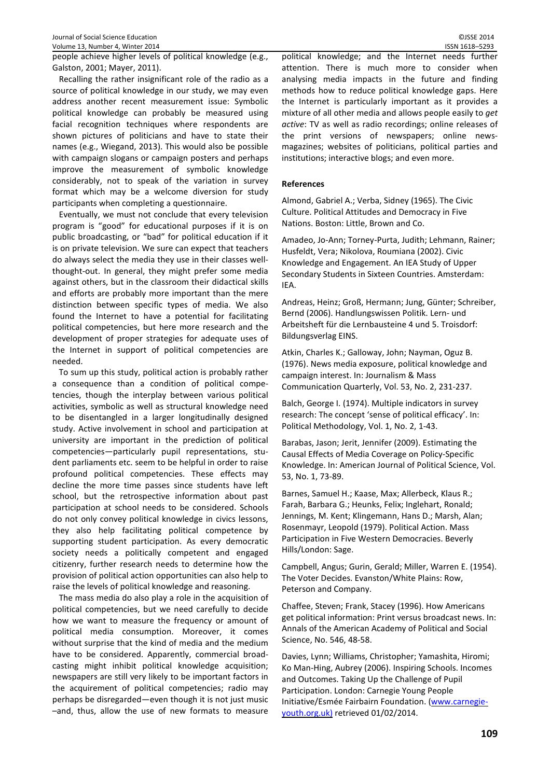people achieve higher levels of political knowledge (e.g., Galston, 2001; Mayer, 2011).

Recalling the rather insignificant role of the radio as a source of political knowledge in our study, we may even address another recent measurement issue: Symbolic political knowledge can probably be measured using facial recognition techniques where respondents are shown pictures of politicians and have to state their names (e.g., Wiegand, 2013). This would also be possible with campaign slogans or campaign posters and perhaps improve the measurement of symbolic knowledge considerably, not to speak of the variation in survey format which may be a welcome diversion for study participants when completing a questionnaire.

Eventually, we must not conclude that every television program is "good" for educational purposes if it is on public broadcasting, or "bad" for political education if it is on private television. We sure can expect that teachers do always select the media they use in their classes wellthought-out. In general, they might prefer some media against others, but in the classroom their didactical skills and efforts are probably more important than the mere distinction between specific types of media. We also found the Internet to have a potential for facilitating political competencies, but here more research and the development of proper strategies for adequate uses of the Internet in support of political competencies are needed.

To sum up this study, political action is probably rather a consequence than a condition of political competencies, though the interplay between various political activities, symbolic as well as structural knowledge need to be disentangled in a larger longitudinally designed study. Active involvement in school and participation at university are important in the prediction of political competencies—particularly pupil representations, student parliaments etc. seem to be helpful in order to raise profound political competencies. These effects may decline the more time passes since students have left school, but the retrospective information about past participation at school needs to be considered. Schools do not only convey political knowledge in civics lessons, they also help facilitating political competence by supporting student participation. As every democratic society needs a politically competent and engaged citizenry, further research needs to determine how the provision of political action opportunities can also help to raise the levels of political knowledge and reasoning.

The mass media do also play a role in the acquisition of political competencies, but we need carefully to decide how we want to measure the frequency or amount of political media consumption. Moreover, it comes without surprise that the kind of media and the medium have to be considered. Apparently, commercial broadcasting might inhibit political knowledge acquisition; newspapers are still very likely to be important factors in the acquirement of political competencies; radio may perhaps be disregarded—even though it is not just music –and, thus, allow the use of new formats to measure

political knowledge; and the Internet needs further attention. There is much more to consider when analysing media impacts in the future and finding methods how to reduce political knowledge gaps. Here the Internet is particularly important as it provides a mixture of all other media and allows people easily to *get active*: TV as well as radio recordings; online releases of the print versions of newspapers; online newsmagazines; websites of politicians, political parties and institutions; interactive blogs; and even more.

#### **References**

Almond, Gabriel A.; Verba, Sidney (1965). The Civic Culture. Political Attitudes and Democracy in Five Nations. Boston: Little, Brown and Co.

Amadeo, Jo-Ann; Torney-Purta, Judith; Lehmann, Rainer; Husfeldt, Vera; Nikolova, Roumiana (2002). Civic Knowledge and Engagement. An IEA Study of Upper Secondary Students in Sixteen Countries. Amsterdam: IEA.

Andreas, Heinz; Groß, Hermann; Jung, Günter; Schreiber, Bernd (2006). Handlungswissen Politik. Lern- und Arbeitsheft für die Lernbausteine 4 und 5. Troisdorf: Bildungsverlag EINS.

Atkin, Charles K.; Galloway, John; Nayman, Oguz B. (1976). News media exposure, political knowledge and campaign interest. In: Journalism & Mass Communication Quarterly, Vol. 53, No. 2, 231-237.

Balch, George I. (1974). Multiple indicators in survey research: The concept 'sense of political efficacy'. In: Political Methodology, Vol. 1, No. 2, 1-43.

Barabas, Jason; Jerit, Jennifer (2009). Estimating the Causal Effects of Media Coverage on Policy-Specific Knowledge. In: American Journal of Political Science, Vol. 53, No. 1, 73-89.

Barnes, Samuel H.; Kaase, Max; Allerbeck, Klaus R.; Farah, Barbara G.; Heunks, Felix; Inglehart, Ronald; Jennings, M. Kent; Klingemann, Hans D.; Marsh, Alan; Rosenmayr, Leopold (1979). Political Action. Mass Participation in Five Western Democracies. Beverly Hills/London: Sage.

Campbell, Angus; Gurin, Gerald; Miller, Warren E. (1954). The Voter Decides. Evanston/White Plains: Row, Peterson and Company.

Chaffee, Steven; Frank, Stacey (1996). How Americans get political information: Print versus broadcast news. In: Annals of the American Academy of Political and Social Science, No. 546, 48-58.

Davies, Lynn; Williams, Christopher; Yamashita, Hiromi; Ko Man-Hing, Aubrey (2006). Inspiring Schools. Incomes and Outcomes. Taking Up the Challenge of Pupil Participation. London: Carnegie Young People Initiative/Esmée Fairbairn Foundation. (www.carnegieyouth.org.uk) retrieved 01/02/2014.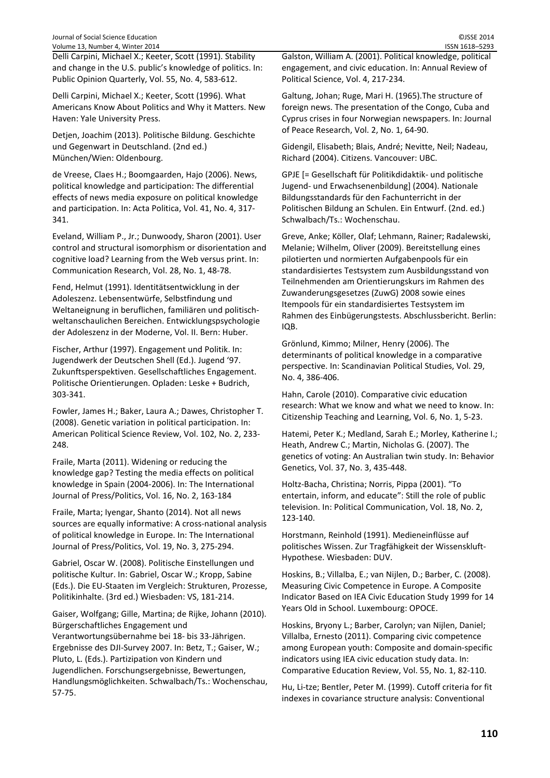Delli Carpini, Michael X.; Keeter, Scott (1991). Stability and change in the U.S. public's knowledge of politics. In: Public Opinion Quarterly, Vol. 55, No. 4, 583-612.

Delli Carpini, Michael X.; Keeter, Scott (1996). What Americans Know About Politics and Why it Matters. New Haven: Yale University Press.

Detjen, Joachim (2013). Politische Bildung. Geschichte und Gegenwart in Deutschland. (2nd ed.) München/Wien: Oldenbourg.

de Vreese, Claes H.; Boomgaarden, Hajo (2006). News, political knowledge and participation: The differential effects of news media exposure on political knowledge and participation. In: Acta Politica, Vol. 41, No. 4, 317- 341.

Eveland, William P., Jr.; Dunwoody, Sharon (2001). User control and structural isomorphism or disorientation and cognitive load? Learning from the Web versus print. In: Communication Research, Vol. 28, No. 1, 48-78.

Fend, Helmut (1991). Identitätsentwicklung in der Adoleszenz. Lebensentwürfe, Selbstfindung und Weltaneignung in beruflichen, familiären und politischweltanschaulichen Bereichen. Entwicklungspsychologie der Adoleszenz in der Moderne, Vol. II. Bern: Huber.

Fischer, Arthur (1997). Engagement und Politik. In: Jugendwerk der Deutschen Shell (Ed.). Jugend '97. Zukunftsperspektiven. Gesellschaftliches Engagement. Politische Orientierungen. Opladen: Leske + Budrich, 303-341.

Fowler, James H.; Baker, Laura A.; Dawes, Christopher T. (2008). Genetic variation in political participation. In: American Political Science Review, Vol. 102, No. 2, 233- 248.

Fraile, Marta (2011). Widening or reducing the knowledge gap? Testing the media effects on political knowledge in Spain (2004-2006). In: The International Journal of Press/Politics, Vol. 16, No. 2, 163-184

Fraile, Marta; Iyengar, Shanto (2014). Not all news sources are equally informative: A cross-national analysis of political knowledge in Europe. In: The International Journal of Press/Politics, Vol. 19, No. 3, 275-294.

Gabriel, Oscar W. (2008). Politische Einstellungen und politische Kultur. In: Gabriel, Oscar W.; Kropp, Sabine (Eds.). Die EU-Staaten im Vergleich: Strukturen, Prozesse, Politikinhalte. (3rd ed.) Wiesbaden: VS, 181-214.

Gaiser, Wolfgang; Gille, Martina; de Rijke, Johann (2010). Bürgerschaftliches Engagement und Verantwortungsübernahme bei 18- bis 33-Jährigen. Ergebnisse des DJI-Survey 2007. In: Betz, T.; Gaiser, W.; Pluto, L. (Eds.). Partizipation von Kindern und Jugendlichen. Forschungsergebnisse, Bewertungen, Handlungsmöglichkeiten. Schwalbach/Ts.: Wochenschau, 57-75.

Galston, William A. (2001). Political knowledge, political engagement, and civic education. In: Annual Review of Political Science, Vol. 4, 217-234.

Galtung, Johan; Ruge, Mari H. (1965).The structure of foreign news. The presentation of the Congo, Cuba and Cyprus crises in four Norwegian newspapers. In: Journal of Peace Research, Vol. 2, No. 1, 64-90.

Gidengil, Elisabeth; Blais, André; Nevitte, Neil; Nadeau, Richard (2004). Citizens. Vancouver: UBC.

GPJE [= Gesellschaft für Politikdidaktik- und politische Jugend- und Erwachsenenbildung] (2004). Nationale Bildungsstandards für den Fachunterricht in der Politischen Bildung an Schulen. Ein Entwurf. (2nd. ed.) Schwalbach/Ts.: Wochenschau.

Greve, Anke; Köller, Olaf; Lehmann, Rainer; Radalewski, Melanie; Wilhelm, Oliver (2009). Bereitstellung eines pilotierten und normierten Aufgabenpools für ein standardisiertes Testsystem zum Ausbildungsstand von Teilnehmenden am Orientierungskurs im Rahmen des Zuwanderungsgesetzes (ZuwG) 2008 sowie eines Itempools für ein standardisiertes Testsystem im Rahmen des Einbügerungstests. Abschlussbericht. Berlin: IQB.

Grönlund, Kimmo; Milner, Henry (2006). The determinants of political knowledge in a comparative perspective. In: Scandinavian Political Studies, Vol. 29, No. 4, 386-406.

Hahn, Carole (2010). Comparative civic education research: What we know and what we need to know. In: Citizenship Teaching and Learning, Vol. 6, No. 1, 5-23.

Hatemi, Peter K.; Medland, Sarah E.; Morley, Katherine I.; Heath, Andrew C.; Martin, Nicholas G. (2007). The genetics of voting: An Australian twin study. In: Behavior Genetics, Vol. 37, No. 3, 435-448.

Holtz-Bacha, Christina; Norris, Pippa (2001). "To entertain, inform, and educate": Still the role of public television. In: Political Communication, Vol. 18, No. 2, 123-140.

Horstmann, Reinhold (1991). Medieneinflüsse auf politisches Wissen. Zur Tragfähigkeit der Wissenskluft-Hypothese. Wiesbaden: DUV.

Hoskins, B.; Villalba, E.; van Nijlen, D.; Barber, C. (2008). Measuring Civic Competence in Europe. A Composite Indicator Based on IEA Civic Education Study 1999 for 14 Years Old in School. Luxembourg: OPOCE.

Hoskins, Bryony L.; Barber, Carolyn; van Nijlen, Daniel; Villalba, Ernesto (2011). Comparing civic competence among European youth: Composite and domain-specific indicators using IEA civic education study data. In: Comparative Education Review, Vol. 55, No. 1, 82-110.

Hu, Li-tze; Bentler, Peter M. (1999). Cutoff criteria for fit indexes in covariance structure analysis: Conventional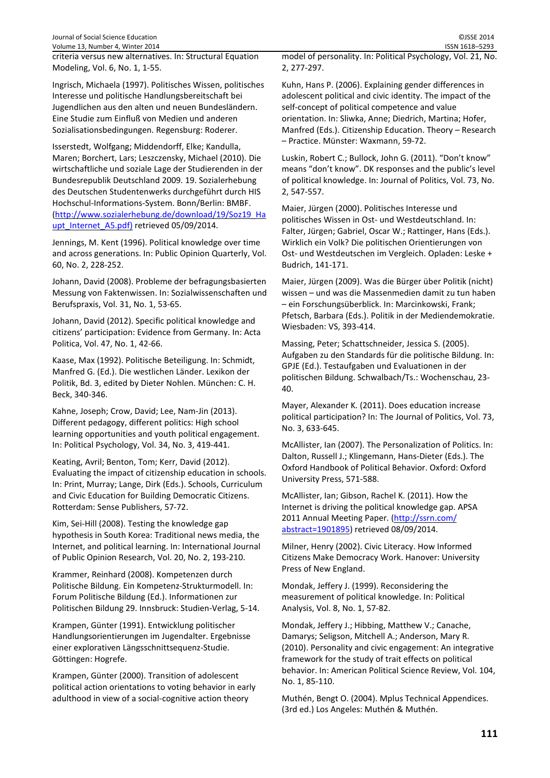Journal of Social Science Education ©JSSE 2014 Volume 13, Number 4, Winter 2014 **ISSN 1618–5293** ISSN 1618–5293

criteria versus new alternatives. In: Structural Equation Modeling, Vol. 6, No. 1, 1-55.

Ingrisch, Michaela (1997). Politisches Wissen, politisches Interesse und politische Handlungsbereitschaft bei Jugendlichen aus den alten und neuen Bundesländern. Eine Studie zum Einfluß von Medien und anderen Sozialisationsbedingungen. Regensburg: Roderer.

Isserstedt, Wolfgang; Middendorff, Elke; Kandulla, Maren; Borchert, Lars; Leszczensky, Michael (2010). Die wirtschaftliche und soziale Lage der Studierenden in der Bundesrepublik Deutschland 2009. 19. Sozialerhebung des Deutschen Studentenwerks durchgeführt durch HIS Hochschul-Informations-System. Bonn/Berlin: BMBF. (http://www.sozialerhebung.de/download/19/Soz19\_Ha upt\_Internet\_A5.pdf) retrieved 05/09/2014.

Jennings, M. Kent (1996). Political knowledge over time and across generations. In: Public Opinion Quarterly, Vol. 60, No. 2, 228-252.

Johann, David (2008). Probleme der befragungsbasierten Messung von Faktenwissen. In: Sozialwissenschaften und Berufspraxis, Vol. 31, No. 1, 53-65.

Johann, David (2012). Specific political knowledge and citizens' participation: Evidence from Germany. In: Acta Politica, Vol. 47, No. 1, 42-66.

Kaase, Max (1992). Politische Beteiligung. In: Schmidt, Manfred G. (Ed.). Die westlichen Länder. Lexikon der Politik, Bd. 3, edited by Dieter Nohlen. München: C. H. Beck, 340-346.

Kahne, Joseph; Crow, David; Lee, Nam-Jin (2013). Different pedagogy, different politics: High school learning opportunities and youth political engagement. In: Political Psychology, Vol. 34, No. 3, 419-441.

Keating, Avril; Benton, Tom; Kerr, David (2012). Evaluating the impact of citizenship education in schools. In: Print, Murray; Lange, Dirk (Eds.). Schools, Curriculum and Civic Education for Building Democratic Citizens. Rotterdam: Sense Publishers, 57-72.

Kim, Sei-Hill (2008). Testing the knowledge gap hypothesis in South Korea: Traditional news media, the Internet, and political learning. In: International Journal of Public Opinion Research, Vol. 20, No. 2, 193-210.

Krammer, Reinhard (2008). Kompetenzen durch Politische Bildung. Ein Kompetenz-Strukturmodell. In: Forum Politische Bildung (Ed.). Informationen zur Politischen Bildung 29. Innsbruck: Studien-Verlag, 5-14.

Krampen, Günter (1991). Entwicklung politischer Handlungsorientierungen im Jugendalter. Ergebnisse einer explorativen Längsschnittsequenz-Studie. Göttingen: Hogrefe.

Krampen, Günter (2000). Transition of adolescent political action orientations to voting behavior in early adulthood in view of a social-cognitive action theory

model of personality. In: Political Psychology, Vol. 21, No. 2, 277-297.

Kuhn, Hans P. (2006). Explaining gender differences in adolescent political and civic identity. The impact of the self-concept of political competence and value orientation. In: Sliwka, Anne; Diedrich, Martina; Hofer, Manfred (Eds.). Citizenship Education. Theory – Research – Practice. Münster: Waxmann, 59-72.

Luskin, Robert C.; Bullock, John G. (2011). "Don't know" means "don't know". DK responses and the public's level of political knowledge. In: Journal of Politics, Vol. 73, No. 2, 547-557.

Maier, Jürgen (2000). Politisches Interesse und politisches Wissen in Ost- und Westdeutschland. In: Falter, Jürgen; Gabriel, Oscar W.; Rattinger, Hans (Eds.). Wirklich ein Volk? Die politischen Orientierungen von Ost- und Westdeutschen im Vergleich. Opladen: Leske + Budrich, 141-171.

Maier, Jürgen (2009). Was die Bürger über Politik (nicht) wissen – und was die Massenmedien damit zu tun haben – ein Forschungsüberblick. In: Marcinkowski, Frank; Pfetsch, Barbara (Eds.). Politik in der Mediendemokratie. Wiesbaden: VS, 393-414.

Massing, Peter; Schattschneider, Jessica S. (2005). Aufgaben zu den Standards für die politische Bildung. In: GPJE (Ed.). Testaufgaben und Evaluationen in der politischen Bildung. Schwalbach/Ts.: Wochenschau, 23- 40.

Mayer, Alexander K. (2011). Does education increase political participation? In: The Journal of Politics, Vol. 73, No. 3, 633-645.

McAllister, Ian (2007). The Personalization of Politics. In: Dalton, Russell J.; Klingemann, Hans-Dieter (Eds.). The Oxford Handbook of Political Behavior. Oxford: Oxford University Press, 571-588.

McAllister, Ian; Gibson, Rachel K. (2011). How the Internet is driving the political knowledge gap. APSA 2011 Annual Meeting Paper. (http://ssrn.com/ abstract=1901895) retrieved 08/09/2014.

Milner, Henry (2002). Civic Literacy. How Informed Citizens Make Democracy Work. Hanover: University Press of New England.

Mondak, Jeffery J. (1999). Reconsidering the measurement of political knowledge. In: Political Analysis, Vol. 8, No. 1, 57-82.

Mondak, Jeffery J.; Hibbing, Matthew V.; Canache, Damarys; Seligson, Mitchell A.; Anderson, Mary R. (2010). Personality and civic engagement: An integrative framework for the study of trait effects on political behavior. In: American Political Science Review, Vol. 104, No. 1, 85-110.

Muthén, Bengt O. (2004). Mplus Technical Appendices. (3rd ed.) Los Angeles: Muthén & Muthén.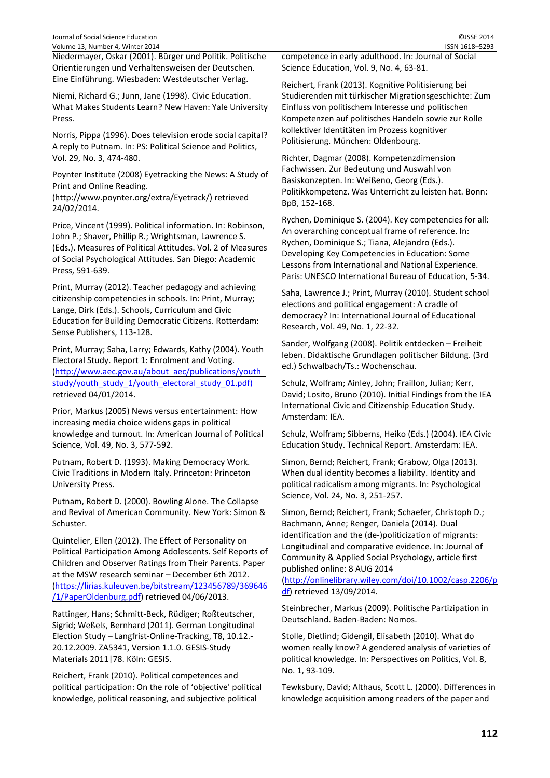Niedermayer, Oskar (2001). Bürger und Politik. Politische Orientierungen und Verhaltensweisen der Deutschen. Eine Einführung. Wiesbaden: Westdeutscher Verlag.

Niemi, Richard G.; Junn, Jane (1998). Civic Education. What Makes Students Learn? New Haven: Yale University Press.

Norris, Pippa (1996). Does television erode social capital? A reply to Putnam. In: PS: Political Science and Politics, Vol. 29, No. 3, 474-480.

Poynter Institute (2008) Eyetracking the News: A Study of Print and Online Reading.

(http://www.poynter.org/extra/Eyetrack/) retrieved 24/02/2014.

Price, Vincent (1999). Political information. In: Robinson, John P.; Shaver, Phillip R.; Wrightsman, Lawrence S. (Eds.). Measures of Political Attitudes. Vol. 2 of Measures of Social Psychological Attitudes. San Diego: Academic Press, 591-639.

Print, Murray (2012). Teacher pedagogy and achieving citizenship competencies in schools. In: Print, Murray; Lange, Dirk (Eds.). Schools, Curriculum and Civic Education for Building Democratic Citizens. Rotterdam: Sense Publishers, 113-128.

Print, Murray; Saha, Larry; Edwards, Kathy (2004). Youth Electoral Study. Report 1: Enrolment and Voting. (http://www.aec.gov.au/about\_aec/publications/youth\_ study/youth\_study\_1/youth\_electoral\_study\_01.pdf) retrieved 04/01/2014.

Prior, Markus (2005) News versus entertainment: How increasing media choice widens gaps in political knowledge and turnout. In: American Journal of Political Science, Vol. 49, No. 3, 577-592.

Putnam, Robert D. (1993). Making Democracy Work. Civic Traditions in Modern Italy. Princeton: Princeton University Press.

Putnam, Robert D. (2000). Bowling Alone. The Collapse and Revival of American Community. New York: Simon & Schuster.

Quintelier, Ellen (2012). The Effect of Personality on Political Participation Among Adolescents. Self Reports of Children and Observer Ratings from Their Parents. Paper at the MSW research seminar – December 6th 2012. (https://lirias.kuleuven.be/bitstream/123456789/369646 /1/PaperOldenburg.pdf) retrieved 04/06/2013.

Rattinger, Hans; Schmitt-Beck, Rüdiger; Roßteutscher, Sigrid; Weßels, Bernhard (2011). German Longitudinal Election Study – Langfrist-Online-Tracking, T8, 10.12.- 20.12.2009. ZA5341, Version 1.1.0. GESIS-Study Materials 2011|78. Köln: GESIS.

Reichert, Frank (2010). Political competences and political participation: On the role of 'objective' political knowledge, political reasoning, and subjective political

competence in early adulthood. In: Journal of Social Science Education, Vol. 9, No. 4, 63-81.

Reichert, Frank (2013). Kognitive Politisierung bei Studierenden mit türkischer Migrationsgeschichte: Zum Einfluss von politischem Interesse und politischen Kompetenzen auf politisches Handeln sowie zur Rolle kollektiver Identitäten im Prozess kognitiver Politisierung. München: Oldenbourg.

Richter, Dagmar (2008). Kompetenzdimension Fachwissen. Zur Bedeutung und Auswahl von Basiskonzepten. In: Weißeno, Georg (Eds.). Politikkompetenz. Was Unterricht zu leisten hat. Bonn: BpB, 152-168.

Rychen, Dominique S. (2004). Key competencies for all: An overarching conceptual frame of reference. In: Rychen, Dominique S.; Tiana, Alejandro (Eds.). Developing Key Competencies in Education: Some Lessons from International and National Experience. Paris: UNESCO International Bureau of Education, 5-34.

Saha, Lawrence J.; Print, Murray (2010). Student school elections and political engagement: A cradle of democracy? In: International Journal of Educational Research, Vol. 49, No. 1, 22-32.

Sander, Wolfgang (2008). Politik entdecken – Freiheit leben. Didaktische Grundlagen politischer Bildung. (3rd ed.) Schwalbach/Ts.: Wochenschau.

Schulz, Wolfram; Ainley, John; Fraillon, Julian; Kerr, David; Losito, Bruno (2010). Initial Findings from the IEA International Civic and Citizenship Education Study. Amsterdam: IEA.

Schulz, Wolfram; Sibberns, Heiko (Eds.) (2004). IEA Civic Education Study. Technical Report. Amsterdam: IEA.

Simon, Bernd; Reichert, Frank; Grabow, Olga (2013). When dual identity becomes a liability. Identity and political radicalism among migrants. In: Psychological Science, Vol. 24, No. 3, 251-257.

Simon, Bernd; Reichert, Frank; Schaefer, Christoph D.; Bachmann, Anne; Renger, Daniela (2014). Dual identification and the (de-)politicization of migrants: Longitudinal and comparative evidence. In: Journal of Community & Applied Social Psychology, article first published online: 8 AUG 2014

(http://onlinelibrary.wiley.com/doi/10.1002/casp.2206/p df) retrieved 13/09/2014.

Steinbrecher, Markus (2009). Politische Partizipation in Deutschland. Baden-Baden: Nomos.

Stolle, Dietlind; Gidengil, Elisabeth (2010). What do women really know? A gendered analysis of varieties of political knowledge. In: Perspectives on Politics, Vol. 8, No. 1, 93-109.

Tewksbury, David; Althaus, Scott L. (2000). Differences in knowledge acquisition among readers of the paper and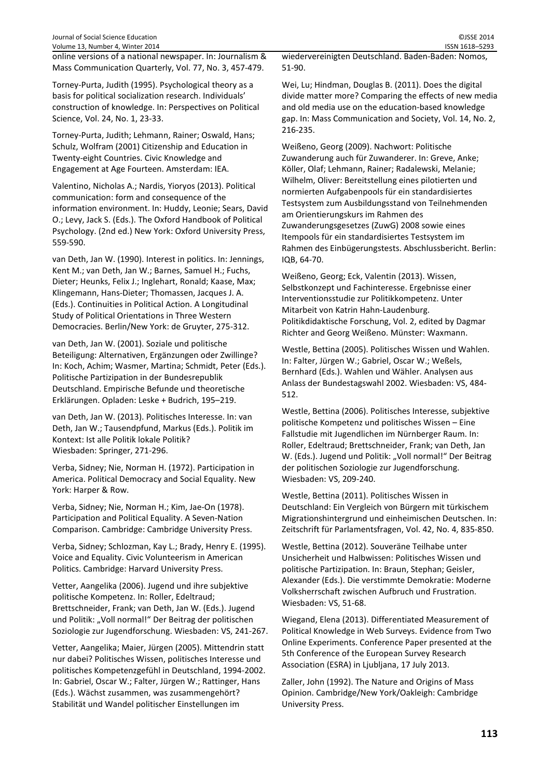online versions of a national newspaper. In: Journalism & Mass Communication Quarterly, Vol. 77, No. 3, 457-479.

Torney-Purta, Judith (1995). Psychological theory as a basis for political socialization research. Individuals' construction of knowledge. In: Perspectives on Political Science, Vol. 24, No. 1, 23-33.

Torney-Purta, Judith; Lehmann, Rainer; Oswald, Hans; Schulz, Wolfram (2001) Citizenship and Education in Twenty-eight Countries. Civic Knowledge and Engagement at Age Fourteen. Amsterdam: IEA.

Valentino, Nicholas A.; Nardis, Yioryos (2013). Political communication: form and consequence of the information environment. In: Huddy, Leonie; Sears, David O.; Levy, Jack S. (Eds.). The Oxford Handbook of Political Psychology. (2nd ed.) New York: Oxford University Press, 559-590.

van Deth, Jan W. (1990). Interest in politics. In: Jennings, Kent M.; van Deth, Jan W.; Barnes, Samuel H.; Fuchs, Dieter; Heunks, Felix J.; Inglehart, Ronald; Kaase, Max; Klingemann, Hans-Dieter; Thomassen, Jacques J. A. (Eds.). Continuities in Political Action. A Longitudinal Study of Political Orientations in Three Western Democracies. Berlin/New York: de Gruyter, 275-312.

van Deth, Jan W. (2001). Soziale und politische Beteiligung: Alternativen, Ergänzungen oder Zwillinge? In: Koch, Achim; Wasmer, Martina; Schmidt, Peter (Eds.). Politische Partizipation in der Bundesrepublik Deutschland. Empirische Befunde und theoretische Erklärungen. Opladen: Leske + Budrich, 195–219.

van Deth, Jan W. (2013). Politisches Interesse. In: van Deth, Jan W.; Tausendpfund, Markus (Eds.). Politik im Kontext: Ist alle Politik lokale Politik? Wiesbaden: Springer, 271-296.

Verba, Sidney; Nie, Norman H. (1972). Participation in America. Political Democracy and Social Equality. New York: Harper & Row.

Verba, Sidney; Nie, Norman H.; Kim, Jae-On (1978). Participation and Political Equality. A Seven-Nation Comparison. Cambridge: Cambridge University Press.

Verba, Sidney; Schlozman, Kay L.; Brady, Henry E. (1995). Voice and Equality. Civic Volunteerism in American Politics. Cambridge: Harvard University Press.

Vetter, Aangelika (2006). Jugend und ihre subjektive politische Kompetenz. In: Roller, Edeltraud; Brettschneider, Frank; van Deth, Jan W. (Eds.). Jugend und Politik: "Voll normal!" Der Beitrag der politischen Soziologie zur Jugendforschung. Wiesbaden: VS, 241-267.

Vetter, Aangelika; Maier, Jürgen (2005). Mittendrin statt nur dabei? Politisches Wissen, politisches Interesse und politisches Kompetenzgefühl in Deutschland, 1994-2002. In: Gabriel, Oscar W.; Falter, Jürgen W.; Rattinger, Hans (Eds.). Wächst zusammen, was zusammengehört? Stabilität und Wandel politischer Einstellungen im

wiedervereinigten Deutschland. Baden-Baden: Nomos, 51-90.

Wei, Lu; Hindman, Douglas B. (2011). Does the digital divide matter more? Comparing the effects of new media and old media use on the education-based knowledge gap. In: Mass Communication and Society, Vol. 14, No. 2, 216-235.

Weißeno, Georg (2009). Nachwort: Politische Zuwanderung auch für Zuwanderer. In: Greve, Anke; Köller, Olaf; Lehmann, Rainer; Radalewski, Melanie; Wilhelm, Oliver: Bereitstellung eines pilotierten und normierten Aufgabenpools für ein standardisiertes Testsystem zum Ausbildungsstand von Teilnehmenden am Orientierungskurs im Rahmen des Zuwanderungsgesetzes (ZuwG) 2008 sowie eines Itempools für ein standardisiertes Testsystem im Rahmen des Einbügerungstests. Abschlussbericht. Berlin: IQB, 64-70.

Weißeno, Georg; Eck, Valentin (2013). Wissen, Selbstkonzept und Fachinteresse. Ergebnisse einer Interventionsstudie zur Politikkompetenz. Unter Mitarbeit von Katrin Hahn-Laudenburg. Politikdidaktische Forschung, Vol. 2, edited by Dagmar Richter and Georg Weißeno. Münster: Waxmann.

Westle, Bettina (2005). Politisches Wissen und Wahlen. In: Falter, Jürgen W.; Gabriel, Oscar W.; Weßels, Bernhard (Eds.). Wahlen und Wähler. Analysen aus Anlass der Bundestagswahl 2002. Wiesbaden: VS, 484- 512.

Westle, Bettina (2006). Politisches Interesse, subjektive politische Kompetenz und politisches Wissen – Eine Fallstudie mit Jugendlichen im Nürnberger Raum. In: Roller, Edeltraud; Brettschneider, Frank; van Deth, Jan W. (Eds.). Jugend und Politik: "Voll normal!" Der Beitrag der politischen Soziologie zur Jugendforschung. Wiesbaden: VS, 209-240.

Westle, Bettina (2011). Politisches Wissen in Deutschland: Ein Vergleich von Bürgern mit türkischem Migrationshintergrund und einheimischen Deutschen. In: Zeitschrift für Parlamentsfragen, Vol. 42, No. 4, 835-850.

Westle, Bettina (2012). Souveräne Teilhabe unter Unsicherheit und Halbwissen: Politisches Wissen und politische Partizipation. In: Braun, Stephan; Geisler, Alexander (Eds.). Die verstimmte Demokratie: Moderne Volksherrschaft zwischen Aufbruch und Frustration. Wiesbaden: VS, 51-68.

Wiegand, Elena (2013). Differentiated Measurement of Political Knowledge in Web Surveys. Evidence from Two Online Experiments. Conference Paper presented at the 5th Conference of the European Survey Research Association (ESRA) in Ljubljana, 17 July 2013.

Zaller, John (1992). The Nature and Origins of Mass Opinion. Cambridge/New York/Oakleigh: Cambridge University Press.